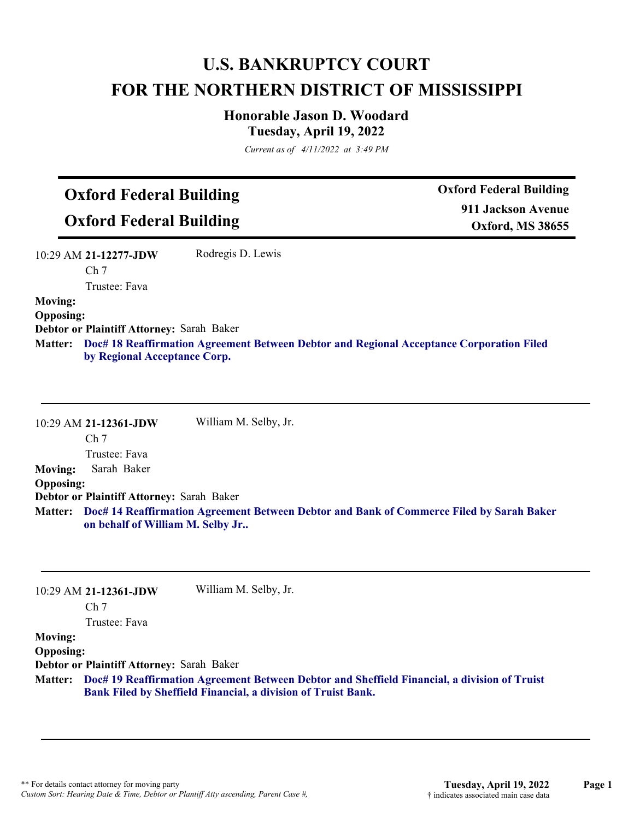# **U.S. BANKRUPTCY COURT FOR THE NORTHERN DISTRICT OF MISSISSIPPI**

### **Honorable Jason D. Woodard Tuesday, April 19, 2022**

*Current as of 4/11/2022 at 3:49 PM*

# **Oxford Federal Building**

**Oxford Federal Building**

**Oxford Federal Building 911 Jackson Avenue Oxford, MS 38655**

| 10:29 AM 21-12277-JDW                            | Rodregis D. Lewis |
|--------------------------------------------------|-------------------|
| Ch <sub>7</sub>                                  |                   |
| Trustee: Fava                                    |                   |
| <b>Moving:</b>                                   |                   |
| <b>Opposing:</b>                                 |                   |
| <b>Debtor or Plaintiff Attorney: Sarah Baker</b> |                   |

**Doc# 18 Reaffirmation Agreement Between Debtor and Regional Acceptance Corporation Filed Matter: by Regional Acceptance Corp.**

10:29 AM **21-12361-JDW**  Ch 7 Trustee: Fava William M. Selby, Jr. **Moving:** Sarah Baker **Opposing: Debtor or Plaintiff Attorney:** Sarah Baker **Doc# 14 Reaffirmation Agreement Between Debtor and Bank of Commerce Filed by Sarah Baker Matter: on behalf of William M. Selby Jr..**

|                  | 10:29 AM 21-12361-JDW                     | William M. Selby, Jr.                                                                                                                                                 |
|------------------|-------------------------------------------|-----------------------------------------------------------------------------------------------------------------------------------------------------------------------|
|                  | Ch <sub>7</sub>                           |                                                                                                                                                                       |
|                  | Trustee: Fava                             |                                                                                                                                                                       |
| <b>Moving:</b>   |                                           |                                                                                                                                                                       |
| <b>Opposing:</b> |                                           |                                                                                                                                                                       |
|                  | Debtor or Plaintiff Attorney: Sarah Baker |                                                                                                                                                                       |
|                  |                                           | Matter: Doc# 19 Reaffirmation Agreement Between Debtor and Sheffield Financial, a division of Truist<br>Bank Filed by Sheffield Financial, a division of Truist Bank. |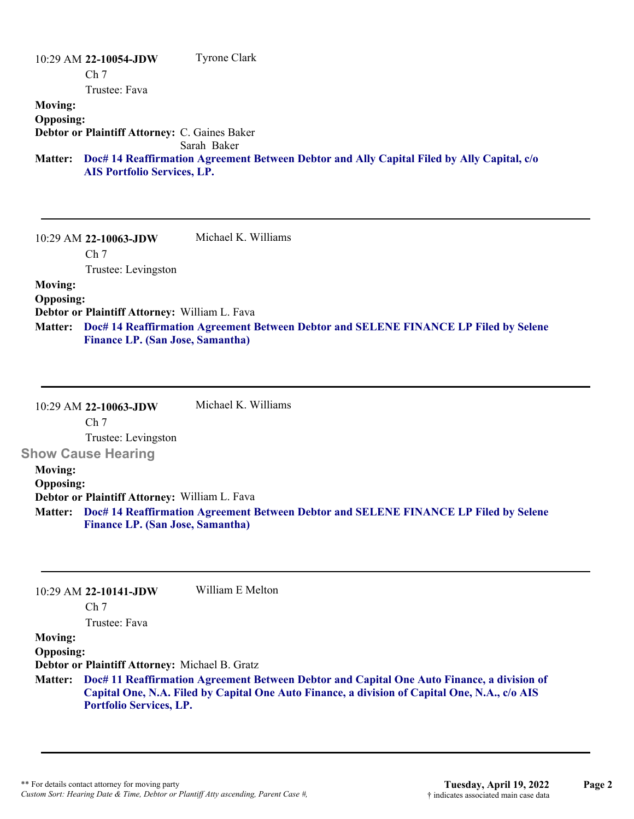#### 10:29 AM **22-10054-JDW**  Ch 7 Trustee: Fava Tyrone Clark **Moving: Opposing: Debtor or Plaintiff Attorney:** C. Gaines Baker Sarah Baker **Doc# 14 Reaffirmation Agreement Between Debtor and Ally Capital Filed by Ally Capital, c/o Matter: AIS Portfolio Services, LP.**

10:29 AM **22-10063-JDW**  Ch 7 Trustee: Levingston Michael K. Williams **Moving: Opposing: Debtor or Plaintiff Attorney:** William L. Fava **Doc# 14 Reaffirmation Agreement Between Debtor and SELENE FINANCE LP Filed by Selene Matter:**

**Finance LP. (San Jose, Samantha)**

10:29 AM **22-10063-JDW**  Ch 7 Trustee: Levingston **Show Cause Hearing**  Michael K. Williams **Moving: Opposing: Debtor or Plaintiff Attorney:** William L. Fava **Doc# 14 Reaffirmation Agreement Between Debtor and SELENE FINANCE LP Filed by Selene Matter: Finance LP. (San Jose, Samantha)**

|                  | $10:29$ AM 22-10141-JDW                        | William E Melton                                                                                                                                                                                    |
|------------------|------------------------------------------------|-----------------------------------------------------------------------------------------------------------------------------------------------------------------------------------------------------|
|                  | Ch <sub>7</sub>                                |                                                                                                                                                                                                     |
|                  | Trustee: Fava                                  |                                                                                                                                                                                                     |
| <b>Moving:</b>   |                                                |                                                                                                                                                                                                     |
| <b>Opposing:</b> |                                                |                                                                                                                                                                                                     |
|                  | Debtor or Plaintiff Attorney: Michael B. Gratz |                                                                                                                                                                                                     |
|                  | <b>Portfolio Services, LP.</b>                 | Matter: Doc# 11 Reaffirmation Agreement Between Debtor and Capital One Auto Finance, a division of<br>Capital One, N.A. Filed by Capital One Auto Finance, a division of Capital One, N.A., c/o AIS |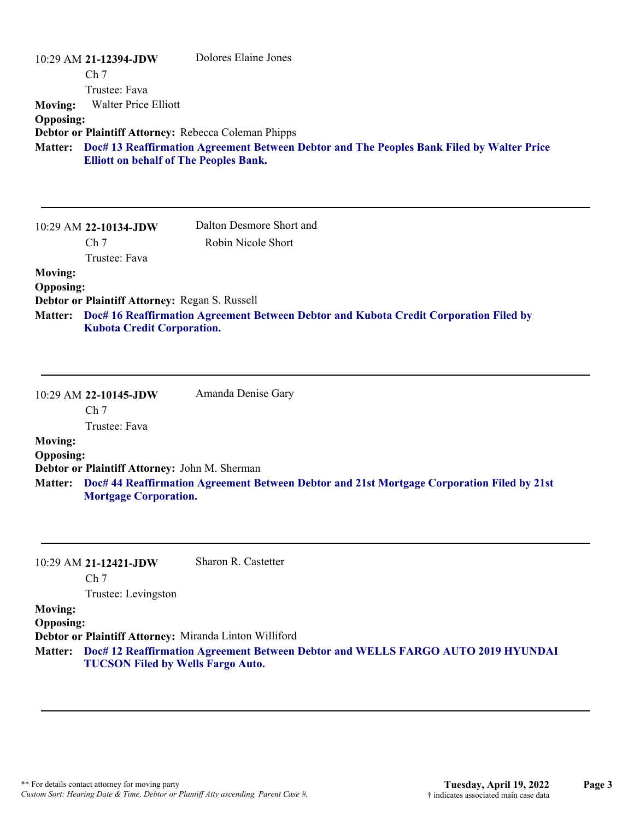| <b>Moving:</b><br><b>Opposing:</b>                   | 10:29 AM 21-12394-JDW<br>Ch <sub>7</sub><br>Trustee: Fava<br><b>Walter Price Elliott</b><br>Debtor or Plaintiff Attorney: Rebecca Coleman Phipps<br><b>Elliott on behalf of The Peoples Bank.</b> | Dolores Elaine Jones<br>Matter: Doc# 13 Reaffirmation Agreement Between Debtor and The Peoples Bank Filed by Walter Price |
|------------------------------------------------------|---------------------------------------------------------------------------------------------------------------------------------------------------------------------------------------------------|---------------------------------------------------------------------------------------------------------------------------|
|                                                      | 10:29 AM 22-10134-JDW<br>Ch <sub>7</sub><br>Trustee: Fava                                                                                                                                         | Dalton Desmore Short and<br>Robin Nicole Short                                                                            |
| <b>Moving:</b><br><b>Opposing:</b><br><b>Matter:</b> | Debtor or Plaintiff Attorney: Regan S. Russell<br><b>Kubota Credit Corporation.</b>                                                                                                               | Doc# 16 Reaffirmation Agreement Between Debtor and Kubota Credit Corporation Filed by                                     |
|                                                      | 10:29 AM 22-10145-JDW<br>Ch <sub>7</sub><br>Trustee: Fava                                                                                                                                         | Amanda Denise Gary                                                                                                        |
| <b>Moving:</b><br><b>Opposing:</b><br><b>Matter:</b> | Debtor or Plaintiff Attorney: John M. Sherman<br><b>Mortgage Corporation.</b>                                                                                                                     | Doc# 44 Reaffirmation Agreement Between Debtor and 21st Mortgage Corporation Filed by 21st                                |
|                                                      | 10:29 AM 21-12421-JDW<br>Ch <sub>7</sub><br>Trustee: Levingston                                                                                                                                   | Sharon R. Castetter                                                                                                       |
| <b>Moving:</b><br><b>Opposing:</b><br><b>Matter:</b> | Debtor or Plaintiff Attorney: Miranda Linton Williford<br><b>TUCSON Filed by Wells Fargo Auto.</b>                                                                                                | Doc# 12 Reaffirmation Agreement Between Debtor and WELLS FARGO AUTO 2019 HYUNDAI                                          |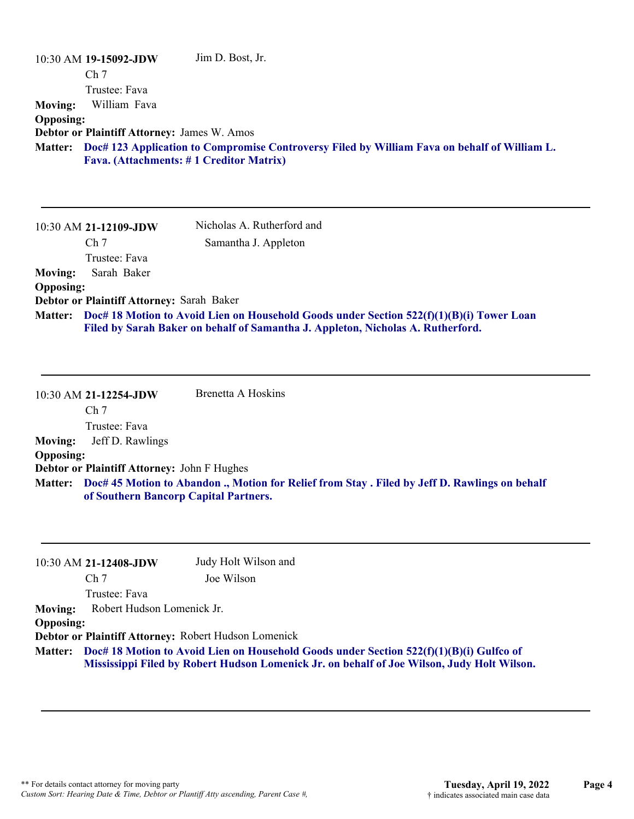|                  | 10:30 AM 19-15092-JDW                       | Jim D. Bost, Jr.                                                                             |
|------------------|---------------------------------------------|----------------------------------------------------------------------------------------------|
|                  | Ch <sub>7</sub>                             |                                                                                              |
|                  | Trustee: Fava                               |                                                                                              |
| <b>Moving:</b>   | William Fava                                |                                                                                              |
| <b>Opposing:</b> |                                             |                                                                                              |
|                  | Debtor or Plaintiff Attorney: James W. Amos |                                                                                              |
| <b>Matter:</b>   |                                             | Doc# 123 Application to Compromise Controversy Filed by William Fava on behalf of William L. |
|                  |                                             | Fava. (Attachments: #1 Creditor Matrix)                                                      |
|                  | 10:30 AM 21-12109-JDW                       | Nicholas A. Rutherford and                                                                   |
|                  | Ch <sub>7</sub>                             | Samantha J. Appleton                                                                         |
|                  | Trustee: Fava                               |                                                                                              |
|                  |                                             |                                                                                              |
| <b>Moving:</b>   | Sarah Baker                                 |                                                                                              |
| <b>Opposing:</b> |                                             |                                                                                              |

**Debtor or Plaintiff Attorney:** Sarah Baker

**Doc# 18 Motion to Avoid Lien on Household Goods under Section 522(f)(1)(B)(i) Tower Loan Matter: Filed by Sarah Baker on behalf of Samantha J. Appleton, Nicholas A. Rutherford.**

|                  | 10:30 AM 21-12254-JDW                              | Brenetta A Hoskins                                                                                     |
|------------------|----------------------------------------------------|--------------------------------------------------------------------------------------------------------|
|                  | Ch <sub>7</sub>                                    |                                                                                                        |
|                  | Trustee: Fava                                      |                                                                                                        |
| <b>Moving:</b>   | Jeff D. Rawlings                                   |                                                                                                        |
| <b>Opposing:</b> |                                                    |                                                                                                        |
|                  | <b>Debtor or Plaintiff Attorney: John F Hughes</b> |                                                                                                        |
|                  | of Southern Bancorp Capital Partners.              | Matter: Doc# 45 Motion to Abandon ., Motion for Relief from Stay . Filed by Jeff D. Rawlings on behalf |

|               | Judy Holt Wilson and                                         |                                                                                                                                                                                                                                                                                     |
|---------------|--------------------------------------------------------------|-------------------------------------------------------------------------------------------------------------------------------------------------------------------------------------------------------------------------------------------------------------------------------------|
|               | Joe Wilson                                                   |                                                                                                                                                                                                                                                                                     |
| Trustee: Fava |                                                              |                                                                                                                                                                                                                                                                                     |
|               |                                                              |                                                                                                                                                                                                                                                                                     |
|               |                                                              |                                                                                                                                                                                                                                                                                     |
|               |                                                              |                                                                                                                                                                                                                                                                                     |
|               |                                                              |                                                                                                                                                                                                                                                                                     |
|               | 10:30 AM 21-12408-JDW<br>Ch <sub>7</sub><br><b>Opposing:</b> | Robert Hudson Lomenick Jr.<br>Debtor or Plaintiff Attorney: Robert Hudson Lomenick<br>Matter: Doc# 18 Motion to Avoid Lien on Household Goods under Section 522(f)(1)(B)(i) Gulfco of<br>Mississippi Filed by Robert Hudson Lomenick Jr. on behalf of Joe Wilson, Judy Holt Wilson. |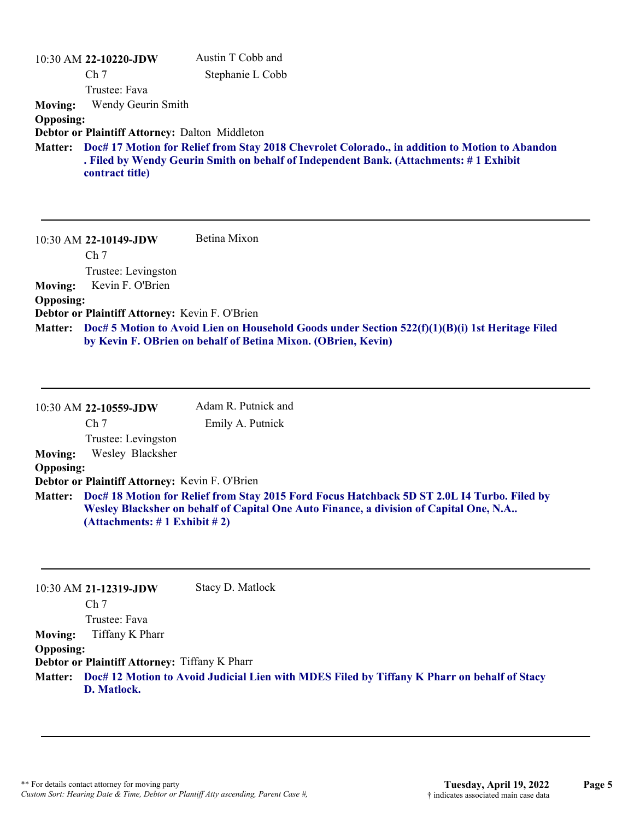|                  | 10:30 AM 22-10220-JDW                                 | Austin T Cobb and                                                                                                                                                                               |
|------------------|-------------------------------------------------------|-------------------------------------------------------------------------------------------------------------------------------------------------------------------------------------------------|
|                  | Ch <sub>7</sub>                                       | Stephanie L Cobb                                                                                                                                                                                |
|                  | Trustee: Fava                                         |                                                                                                                                                                                                 |
| <b>Moving:</b>   | Wendy Geurin Smith                                    |                                                                                                                                                                                                 |
| <b>Opposing:</b> |                                                       |                                                                                                                                                                                                 |
|                  | <b>Debtor or Plaintiff Attorney: Dalton Middleton</b> |                                                                                                                                                                                                 |
|                  | contract title)                                       | Matter: Doc# 17 Motion for Relief from Stay 2018 Chevrolet Colorado., in addition to Motion to Abandon<br>. Filed by Wendy Geurin Smith on behalf of Independent Bank. (Attachments: #1 Exhibit |

10:30 AM **22-10149-JDW**  Ch 7 Trustee: Levingston Betina Mixon **Moving:** Kevin F. O'Brien **Opposing: Debtor or Plaintiff Attorney:** Kevin F. O'Brien

**Doc# 5 Motion to Avoid Lien on Household Goods under Section 522(f)(1)(B)(i) 1st Heritage Filed Matter: by Kevin F. OBrien on behalf of Betina Mixon. (OBrien, Kevin)**

|                  | 10:30 AM 22-10559-JDW                                                                                                                                                                                                           | Adam R. Putnick and |
|------------------|---------------------------------------------------------------------------------------------------------------------------------------------------------------------------------------------------------------------------------|---------------------|
|                  | Ch <sub>7</sub>                                                                                                                                                                                                                 | Emily A. Putnick    |
|                  | Trustee: Levingston                                                                                                                                                                                                             |                     |
| <b>Moving:</b>   | Wesley Blacksher                                                                                                                                                                                                                |                     |
| <b>Opposing:</b> |                                                                                                                                                                                                                                 |                     |
|                  | Debtor or Plaintiff Attorney: Kevin F. O'Brien                                                                                                                                                                                  |                     |
|                  | Matter: Doc# 18 Motion for Relief from Stay 2015 Ford Focus Hatchback 5D ST 2.0L I4 Turbo. Filed by<br>Wesley Blacksher on behalf of Capital One Auto Finance, a division of Capital One, N.A<br>(Attachments: # 1 Exhibit # 2) |                     |

|                  | 10:30 AM 21-12319-JDW                                | Stacy D. Matlock                                                                                    |
|------------------|------------------------------------------------------|-----------------------------------------------------------------------------------------------------|
|                  | Ch <sub>7</sub>                                      |                                                                                                     |
|                  | Trustee: Fava                                        |                                                                                                     |
| <b>Moving:</b>   | Tiffany K Pharr                                      |                                                                                                     |
| <b>Opposing:</b> |                                                      |                                                                                                     |
|                  | <b>Debtor or Plaintiff Attorney: Tiffany K Pharr</b> |                                                                                                     |
|                  |                                                      | Matter: Doc# 12 Motion to Avoid Judicial Lien with MDES Filed by Tiffany K Pharr on behalf of Stacy |
|                  | D. Matlock.                                          |                                                                                                     |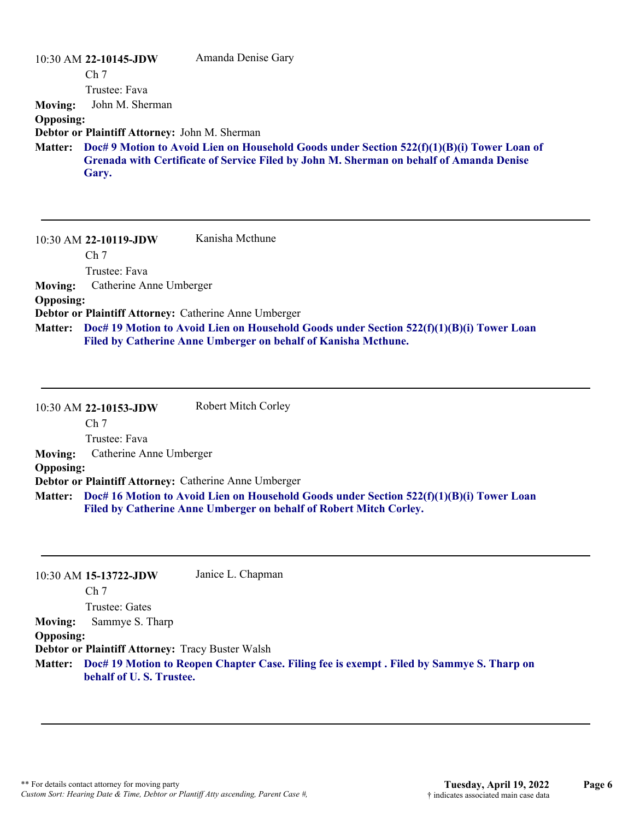|                  | $10:30$ AM 22-10145-JDW                              | Amanda Denise Gary                                                                                                                                                                      |
|------------------|------------------------------------------------------|-----------------------------------------------------------------------------------------------------------------------------------------------------------------------------------------|
|                  | Ch <sub>7</sub>                                      |                                                                                                                                                                                         |
|                  | Trustee: Fava                                        |                                                                                                                                                                                         |
| <b>Moving:</b>   | John M. Sherman                                      |                                                                                                                                                                                         |
| <b>Opposing:</b> |                                                      |                                                                                                                                                                                         |
|                  | <b>Debtor or Plaintiff Attorney: John M. Sherman</b> |                                                                                                                                                                                         |
| <b>Matter:</b>   | Gary.                                                | Doc# 9 Motion to Avoid Lien on Household Goods under Section $522(f)(1)(B)(i)$ Tower Loan of<br>Grenada with Certificate of Service Filed by John M. Sherman on behalf of Amanda Denise |

|                  | 10:30 AM 22-10119-JDW                                 | Kanisha Mcthune                                                                                  |
|------------------|-------------------------------------------------------|--------------------------------------------------------------------------------------------------|
|                  | Ch <sub>7</sub>                                       |                                                                                                  |
|                  | Trustee: Fava                                         |                                                                                                  |
| Moving:          | Catherine Anne Umberger                               |                                                                                                  |
| <b>Opposing:</b> |                                                       |                                                                                                  |
|                  | Debtor or Plaintiff Attorney: Catherine Anne Umberger |                                                                                                  |
|                  |                                                       | Matter: Doc# 19 Motion to Avoid Lien on Household Goods under Section 522(f)(1)(B)(i) Tower Loan |
|                  |                                                       | Filed by Catherine Anne Umberger on behalf of Kanisha Mcthune.                                   |

|                  | 10:30 AM 22-10153-JDW                                        | <b>Robert Mitch Corley</b>                                                                                                                                             |
|------------------|--------------------------------------------------------------|------------------------------------------------------------------------------------------------------------------------------------------------------------------------|
|                  | Ch <sub>7</sub>                                              |                                                                                                                                                                        |
|                  | Trustee: Fava                                                |                                                                                                                                                                        |
|                  | Moving: Catherine Anne Umberger                              |                                                                                                                                                                        |
| <b>Opposing:</b> |                                                              |                                                                                                                                                                        |
|                  | <b>Debtor or Plaintiff Attorney: Catherine Anne Umberger</b> |                                                                                                                                                                        |
|                  |                                                              | Matter: Doc# 16 Motion to Avoid Lien on Household Goods under Section 522(f)(1)(B)(i) Tower Loan<br>Filed by Catherine Anne Umberger on behalf of Robert Mitch Corley. |

|                  | 10:30 AM 15-13722-JDW                                   | Janice L. Chapman                                                                                 |
|------------------|---------------------------------------------------------|---------------------------------------------------------------------------------------------------|
|                  | Ch <sub>7</sub>                                         |                                                                                                   |
|                  | Trustee: Gates                                          |                                                                                                   |
| <b>Moving:</b>   | Sammye S. Tharp                                         |                                                                                                   |
| <b>Opposing:</b> |                                                         |                                                                                                   |
|                  | <b>Debtor or Plaintiff Attorney: Tracy Buster Walsh</b> |                                                                                                   |
|                  | behalf of U.S. Trustee.                                 | Matter: Doc# 19 Motion to Reopen Chapter Case. Filing fee is exempt . Filed by Sammye S. Tharp on |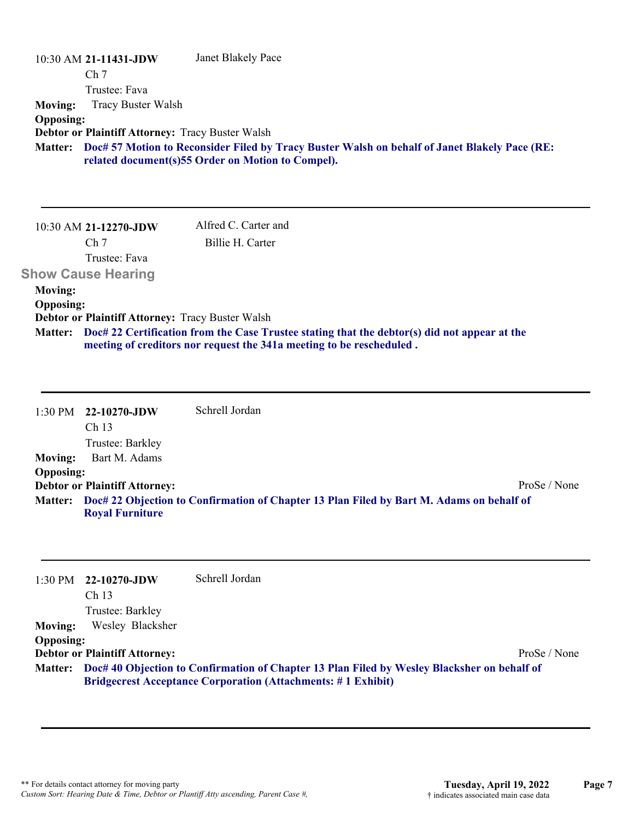| 10:30 AM 21-11431-JDW                                   | Janet Blakely Pace                                                                            |
|---------------------------------------------------------|-----------------------------------------------------------------------------------------------|
| Ch <sub>7</sub>                                         |                                                                                               |
| Trustee: Fava                                           |                                                                                               |
| <b>Tracy Buster Walsh</b><br><b>Moving:</b>             |                                                                                               |
| <b>Opposing:</b>                                        |                                                                                               |
| <b>Debtor or Plaintiff Attorney: Tracy Buster Walsh</b> |                                                                                               |
| <b>Matter:</b>                                          | Doc# 57 Motion to Reconsider Filed by Tracy Buster Walsh on behalf of Janet Blakely Pace (RE: |
|                                                         | related document(s)55 Order on Motion to Compel).                                             |
|                                                         |                                                                                               |
|                                                         |                                                                                               |
|                                                         |                                                                                               |
| 10:30 AM 21-12270-JDW                                   | Alfred C. Carter and                                                                          |
| Ch <sub>7</sub>                                         | Billie H. Carter                                                                              |
| Trustee: Fava                                           |                                                                                               |
| <b>Show Cause Hearing</b>                               |                                                                                               |
| <b>Moving:</b>                                          |                                                                                               |
| <b>Opposing:</b>                                        |                                                                                               |
| <b>Debtor or Plaintiff Attorney: Tracy Buster Walsh</b> |                                                                                               |
|                                                         |                                                                                               |

**Doc# 22 Certification from the Case Trustee stating that the debtor(s) did not appear at the Matter: meeting of creditors nor request the 341a meeting to be rescheduled .**

1:30 PM **22-10270-JDW**  Ch 13 Trustee: Barkley Schrell Jordan **Moving:** Bart M. Adams **Opposing: Debtor or Plaintiff Attorney:** ProSe / None **Doc# 22 Objection to Confirmation of Chapter 13 Plan Filed by Bart M. Adams on behalf of Matter: Royal Furniture**

|                  | $1:30 \text{ PM}$ 22-10270-JDW                                                                                                                                             | Schrell Jordan |              |
|------------------|----------------------------------------------------------------------------------------------------------------------------------------------------------------------------|----------------|--------------|
|                  | Ch <sub>13</sub>                                                                                                                                                           |                |              |
|                  | Trustee: Barkley                                                                                                                                                           |                |              |
| <b>Moving:</b>   | Wesley Blacksher                                                                                                                                                           |                |              |
| <b>Opposing:</b> |                                                                                                                                                                            |                |              |
|                  | <b>Debtor or Plaintiff Attorney:</b>                                                                                                                                       |                | ProSe / None |
|                  | Matter: Doc# 40 Objection to Confirmation of Chapter 13 Plan Filed by Wesley Blacksher on behalf of<br><b>Bridgecrest Acceptance Corporation (Attachments: #1 Exhibit)</b> |                |              |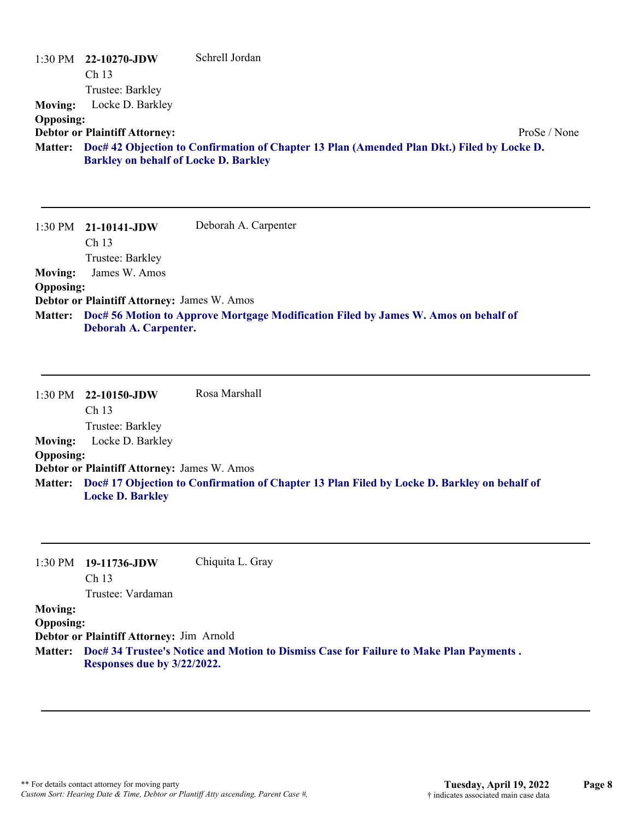|                                    | $1:30 \text{ PM}$ 22-10270-JDW<br>Ch <sub>13</sub><br>Trustee: Barkley | Schrell Jordan                                                                             |
|------------------------------------|------------------------------------------------------------------------|--------------------------------------------------------------------------------------------|
| <b>Moving:</b>                     | Locke D. Barkley                                                       |                                                                                            |
| <b>Opposing:</b>                   | <b>Debtor or Plaintiff Attorney:</b>                                   | ProSe / None                                                                               |
| <b>Matter:</b>                     | <b>Barkley on behalf of Locke D. Barkley</b>                           | Doc# 42 Objection to Confirmation of Chapter 13 Plan (Amended Plan Dkt.) Filed by Locke D. |
|                                    |                                                                        |                                                                                            |
|                                    | $1:30 \text{ PM}$ 21-10141-JDW<br>Ch 13                                | Deborah A. Carpenter                                                                       |
|                                    | Trustee: Barkley                                                       |                                                                                            |
| <b>Moving:</b>                     | James W. Amos                                                          |                                                                                            |
| <b>Opposing:</b><br><b>Matter:</b> | Debtor or Plaintiff Attorney: James W. Amos                            | Doc# 56 Motion to Approve Mortgage Modification Filed by James W. Amos on behalf of        |
|                                    | Deborah A. Carpenter.                                                  |                                                                                            |

1:30 PM **22-10150-JDW**  Ch 13 Trustee: Barkley Rosa Marshall **Moving:** Locke D. Barkley **Opposing: Debtor or Plaintiff Attorney:** James W. Amos **Doc# 17 Objection to Confirmation of Chapter 13 Plan Filed by Locke D. Barkley on behalf of Matter: Locke D. Barkley**

1:30 PM **19-11736-JDW**  Chiquita L. Gray

Ch 13

Trustee: Vardaman

### **Moving:**

**Opposing:**

**Debtor or Plaintiff Attorney:** Jim Arnold

**Doc# 34 Trustee's Notice and Motion to Dismiss Case for Failure to Make Plan Payments . Matter: Responses due by 3/22/2022.**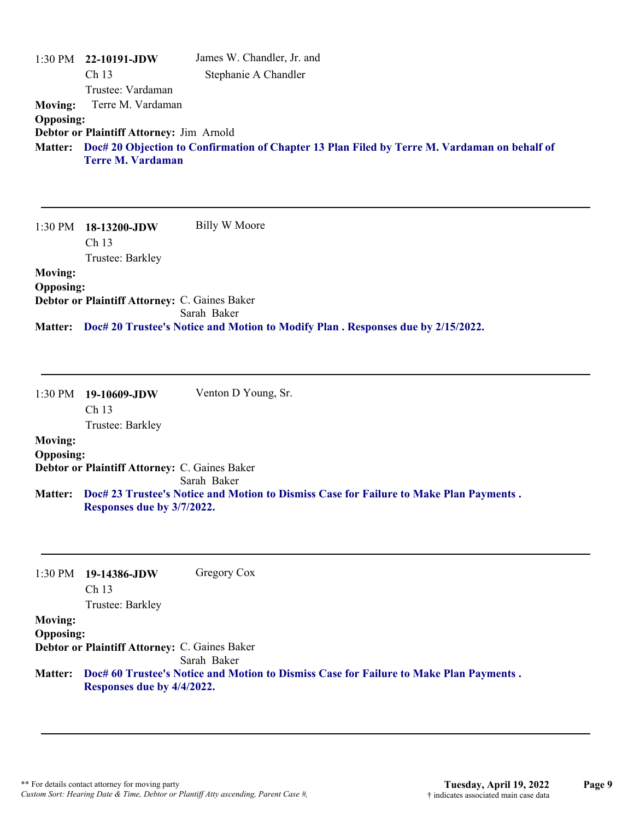| 1:30 PM<br><b>Moving:</b> | 22-10191-JDW<br>Ch <sub>13</sub><br>Trustee: Vardaman<br>Terre M. Vardaman | James W. Chandler, Jr. and<br>Stephanie A Chandler                                           |
|---------------------------|----------------------------------------------------------------------------|----------------------------------------------------------------------------------------------|
| <b>Opposing:</b>          |                                                                            |                                                                                              |
|                           | Debtor or Plaintiff Attorney: Jim Arnold                                   |                                                                                              |
| <b>Matter:</b>            |                                                                            | Doc# 20 Objection to Confirmation of Chapter 13 Plan Filed by Terre M. Vardaman on behalf of |
|                           | <b>Terre M. Vardaman</b>                                                   |                                                                                              |
| $1:30$ PM                 | 18-13200-JDW<br>Ch <sub>13</sub><br>Trustee: Barkley                       | Billy W Moore                                                                                |
| <b>Moving:</b>            |                                                                            |                                                                                              |
| <b>Opposing:</b>          |                                                                            |                                                                                              |
|                           | Debtor or Plaintiff Attorney: C. Gaines Baker                              |                                                                                              |
|                           |                                                                            | Sarah Baker                                                                                  |
| <b>Matter:</b>            |                                                                            | Doc# 20 Trustee's Notice and Motion to Modify Plan . Responses due by 2/15/2022.             |

|                | $1:30 \text{ PM}$ 19-10609-JDW | Venton D Young, Sr. |
|----------------|--------------------------------|---------------------|
|                | Ch <sub>13</sub>               |                     |
|                | Trustee: Barkley               |                     |
| <b>Moving:</b> |                                |                     |

### **Opposing:**

**Debtor or Plaintiff Attorney:** C. Gaines Baker Sarah Baker **Doc# 23 Trustee's Notice and Motion to Dismiss Case for Failure to Make Plan Payments . Matter: Responses due by 3/7/2022.**

| 1:30 PM                            | 19-14386-JDW<br>Ch <sub>13</sub><br>Trustee: Barkley | Gregory Cox                                                                            |
|------------------------------------|------------------------------------------------------|----------------------------------------------------------------------------------------|
| <b>Moving:</b><br><b>Opposing:</b> | Debtor or Plaintiff Attorney: C. Gaines Baker        |                                                                                        |
|                                    |                                                      | Sarah Baker                                                                            |
| <b>Matter:</b>                     | Responses due by 4/4/2022.                           | Doc# 60 Trustee's Notice and Motion to Dismiss Case for Failure to Make Plan Payments. |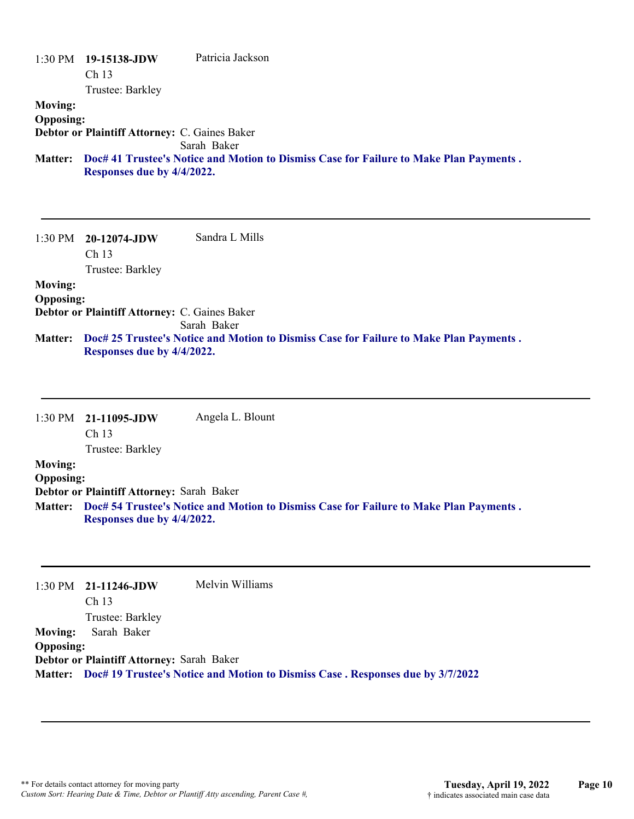|                  | $1:30 \text{ PM}$ 19-15138-JDW<br>Ch <sub>13</sub> | Patricia Jackson                                                                       |
|------------------|----------------------------------------------------|----------------------------------------------------------------------------------------|
|                  | Trustee: Barkley                                   |                                                                                        |
| <b>Moving:</b>   |                                                    |                                                                                        |
| <b>Opposing:</b> |                                                    |                                                                                        |
|                  | Debtor or Plaintiff Attorney: C. Gaines Baker      |                                                                                        |
|                  |                                                    | Sarah Baker                                                                            |
| <b>Matter:</b>   | Responses due by 4/4/2022.                         | Doc# 41 Trustee's Notice and Motion to Dismiss Case for Failure to Make Plan Payments. |

1:30 PM **20-12074-JDW**  Ch 13 Trustee: Barkley Sandra L Mills **Moving:**

### **Opposing:**

**Debtor or Plaintiff Attorney:** C. Gaines Baker

Sarah Baker

**Doc# 25 Trustee's Notice and Motion to Dismiss Case for Failure to Make Plan Payments . Matter: Responses due by 4/4/2022.**

1:30 PM **21-11095-JDW**  Ch 13 Trustee: Barkley Angela L. Blount **Moving: Opposing: Debtor or Plaintiff Attorney:** Sarah Baker **Doc# 54 Trustee's Notice and Motion to Dismiss Case for Failure to Make Plan Payments . Matter: Responses due by 4/4/2022.**

1:30 PM **21-11246-JDW**  Ch 13 Trustee: Barkley Melvin Williams **Moving:** Sarah Baker **Opposing: Debtor or Plaintiff Attorney:** Sarah Baker **Matter: Doc# 19 Trustee's Notice and Motion to Dismiss Case . Responses due by 3/7/2022**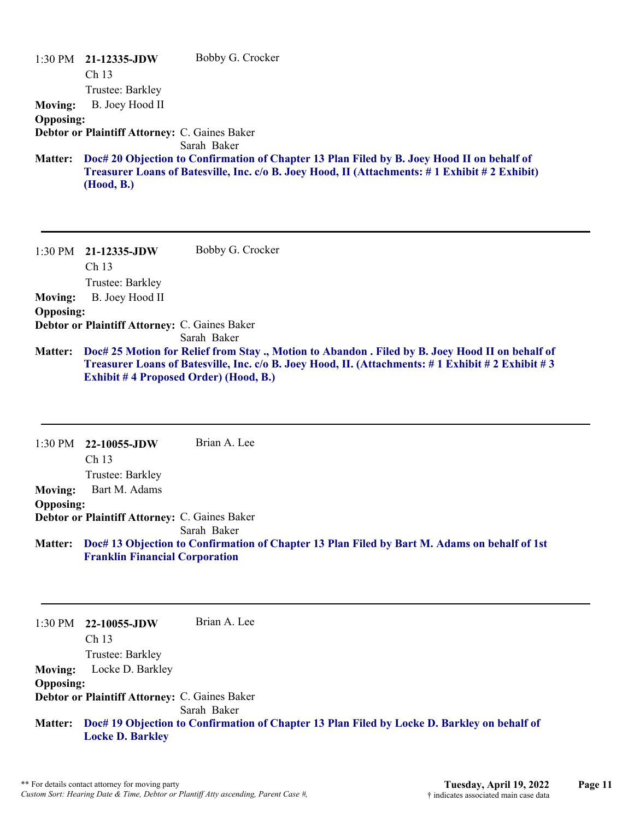|                  | $1:30$ PM $21-12335$ -JDW                     | Bobby G. Crocker                                                                              |
|------------------|-----------------------------------------------|-----------------------------------------------------------------------------------------------|
|                  | Ch <sub>13</sub>                              |                                                                                               |
|                  | Trustee: Barkley                              |                                                                                               |
| <b>Moving:</b>   | B. Joey Hood II                               |                                                                                               |
| <b>Opposing:</b> |                                               |                                                                                               |
|                  | Debtor or Plaintiff Attorney: C. Gaines Baker |                                                                                               |
|                  |                                               | Sarah Baker                                                                                   |
| <b>Matter:</b>   |                                               | Doc# 20 Objection to Confirmation of Chapter 13 Plan Filed by B. Joey Hood II on behalf of    |
|                  | (Hood, B.)                                    | Treasurer Loans of Batesville, Inc. c/o B. Joey Hood, II (Attachments: #1 Exhibit #2 Exhibit) |

|                  | $1:30$ PM $21-12335$ -JDW                     | Bobby G. Crocker                                                                                 |
|------------------|-----------------------------------------------|--------------------------------------------------------------------------------------------------|
|                  | Ch <sub>13</sub>                              |                                                                                                  |
|                  | Trustee: Barkley                              |                                                                                                  |
| <b>Moving:</b>   | B. Joey Hood II                               |                                                                                                  |
| <b>Opposing:</b> |                                               |                                                                                                  |
|                  | Debtor or Plaintiff Attorney: C. Gaines Baker |                                                                                                  |
|                  |                                               | Sarah Baker                                                                                      |
| <b>Matter:</b>   |                                               | Doc# 25 Motion for Relief from Stay., Motion to Abandon. Filed by B. Joey Hood II on behalf of   |
|                  |                                               | Treasurer Loans of Batesville, Inc. c/o B. Joey Hood, II. (Attachments: #1 Exhibit #2 Exhibit #3 |
|                  |                                               | <b>Exhibit #4 Proposed Order) (Hood, B.)</b>                                                     |

1:30 PM **22-10055-JDW**  Ch 13 Trustee: Barkley Brian A. Lee **Moving:** Bart M. Adams **Opposing: Debtor or Plaintiff Attorney:** C. Gaines Baker Sarah Baker **Doc# 13 Objection to Confirmation of Chapter 13 Plan Filed by Bart M. Adams on behalf of 1st Matter: Franklin Financial Corporation**

1:30 PM **22-10055-JDW**  Ch 13 Trustee: Barkley Brian A. Lee **Moving:** Locke D. Barkley **Opposing: Debtor or Plaintiff Attorney:** C. Gaines Baker Sarah Baker **Doc# 19 Objection to Confirmation of Chapter 13 Plan Filed by Locke D. Barkley on behalf of Matter: Locke D. Barkley**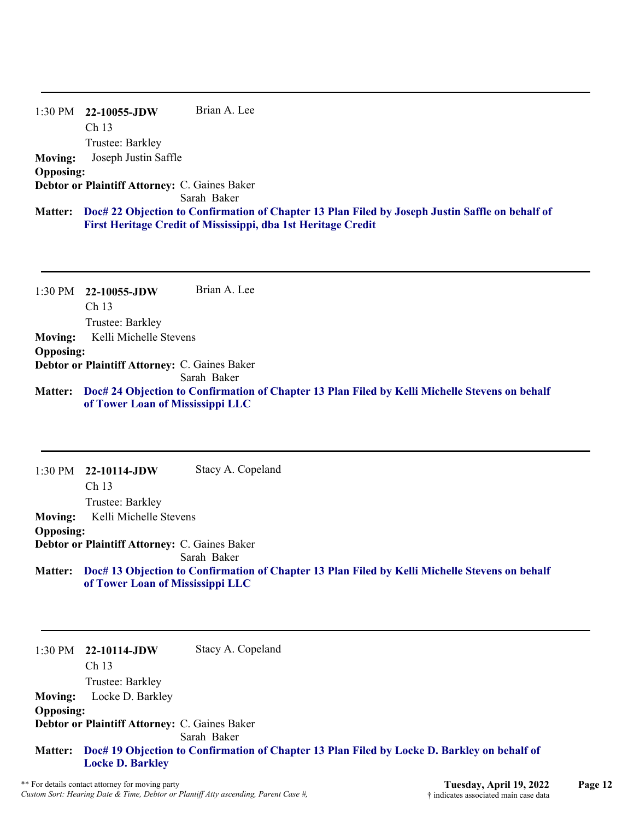#### 1:30 PM **22-10055-JDW**  Ch 13 Trustee: Barkley Brian A. Lee **Moving:** Joseph Justin Saffle **Opposing: Debtor or Plaintiff Attorney:** C. Gaines Baker

Sarah Baker

#### **Doc# 22 Objection to Confirmation of Chapter 13 Plan Filed by Joseph Justin Saffle on behalf of Matter: First Heritage Credit of Mississippi, dba 1st Heritage Credit**

1:30 PM **22-10055-JDW**  Ch 13 Trustee: Barkley Brian A. Lee **Moving:** Kelli Michelle Stevens **Opposing: Debtor or Plaintiff Attorney:** C. Gaines Baker Sarah Baker **Doc# 24 Objection to Confirmation of Chapter 13 Plan Filed by Kelli Michelle Stevens on behalf Matter: of Tower Loan of Mississippi LLC**

1:30 PM **22-10114-JDW**  Ch 13 Trustee: Barkley Stacy A. Copeland **Moving:** Kelli Michelle Stevens **Opposing: Debtor or Plaintiff Attorney:** C. Gaines Baker Sarah Baker **Doc# 13 Objection to Confirmation of Chapter 13 Plan Filed by Kelli Michelle Stevens on behalf Matter: of Tower Loan of Mississippi LLC**

1:30 PM **22-10114-JDW**  Ch 13 Trustee: Barkley Stacy A. Copeland **Moving:** Locke D. Barkley **Opposing: Debtor or Plaintiff Attorney:** C. Gaines Baker Sarah Baker **Doc# 19 Objection to Confirmation of Chapter 13 Plan Filed by Locke D. Barkley on behalf of Matter: Locke D. Barkley**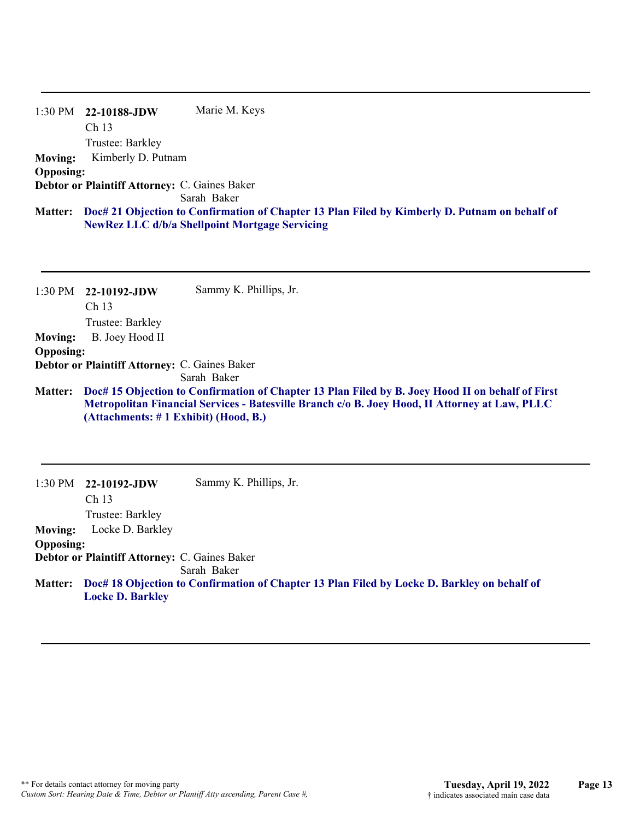|                  | $1:30 \text{ PM}$ 22-10188-JDW                | Marie M. Keys                                                                                 |
|------------------|-----------------------------------------------|-----------------------------------------------------------------------------------------------|
|                  | Ch <sub>13</sub>                              |                                                                                               |
|                  | Trustee: Barkley                              |                                                                                               |
| <b>Moving:</b>   | Kimberly D. Putnam                            |                                                                                               |
| <b>Opposing:</b> |                                               |                                                                                               |
|                  | Debtor or Plaintiff Attorney: C. Gaines Baker |                                                                                               |
|                  |                                               | Sarah Baker                                                                                   |
| <b>Matter:</b>   |                                               | Doc# 21 Objection to Confirmation of Chapter 13 Plan Filed by Kimberly D. Putnam on behalf of |
|                  |                                               | <b>NewRez LLC d/b/a Shellpoint Mortgage Servicing</b>                                         |
|                  |                                               |                                                                                               |

| 1:30 PM          | 22-10192-JDW<br>Ch <sub>13</sub>                     | Sammy K. Phillips, Jr.                                                                                                                                                                             |
|------------------|------------------------------------------------------|----------------------------------------------------------------------------------------------------------------------------------------------------------------------------------------------------|
|                  | Trustee: Barkley                                     |                                                                                                                                                                                                    |
| <b>Moving:</b>   | B. Joey Hood II                                      |                                                                                                                                                                                                    |
| <b>Opposing:</b> |                                                      |                                                                                                                                                                                                    |
|                  | <b>Debtor or Plaintiff Attorney: C. Gaines Baker</b> |                                                                                                                                                                                                    |
|                  |                                                      | Sarah Baker                                                                                                                                                                                        |
| <b>Matter:</b>   | (Attachments: # 1 Exhibit) (Hood, B.)                | Doc# 15 Objection to Confirmation of Chapter 13 Plan Filed by B. Joey Hood II on behalf of First<br>Metropolitan Financial Services - Batesville Branch c/o B. Joey Hood, II Attorney at Law, PLLC |
| 1:30 PM          | 22-10192-JDW<br>Ch <sub>13</sub><br>Trustee: Barkley | Sammy K. Phillips, Jr.                                                                                                                                                                             |

**Moving:** Locke D. Barkley

**Opposing:**

**Debtor or Plaintiff Attorney:** C. Gaines Baker

Sarah Baker

**Doc# 18 Objection to Confirmation of Chapter 13 Plan Filed by Locke D. Barkley on behalf of Matter: Locke D. Barkley**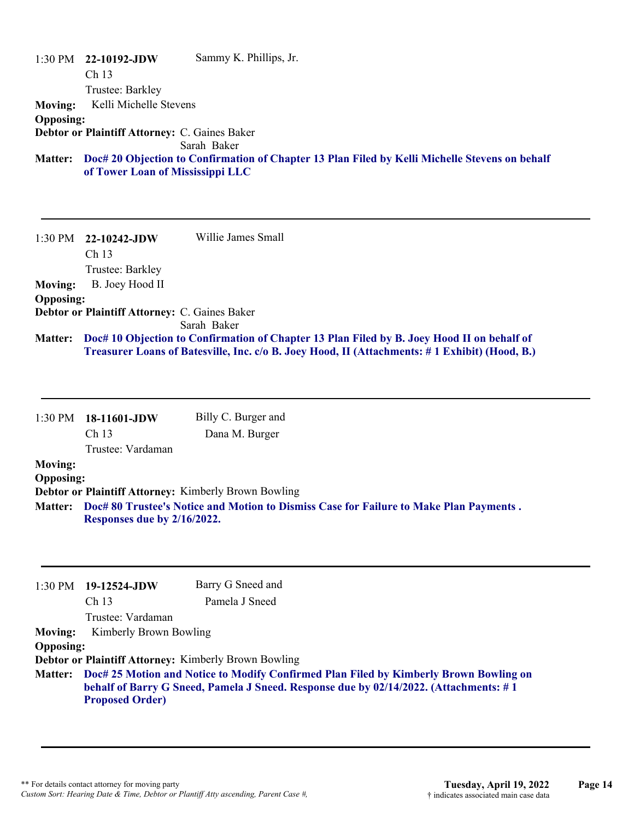1:30 PM **22-10192-JDW**  Ch 13 Trustee: Barkley Sammy K. Phillips, Jr. **Moving:** Kelli Michelle Stevens **Opposing: Debtor or Plaintiff Attorney:** C. Gaines Baker Sarah Baker **Doc# 20 Objection to Confirmation of Chapter 13 Plan Filed by Kelli Michelle Stevens on behalf Matter: of Tower Loan of Mississippi LLC**

1:30 PM **22-10242-JDW**  Ch 13 Trustee: Barkley Willie James Small **Moving:** B. Joey Hood II **Opposing: Debtor or Plaintiff Attorney:** C. Gaines Baker Sarah Baker **Doc# 10 Objection to Confirmation of Chapter 13 Plan Filed by B. Joey Hood II on behalf of Matter: Treasurer Loans of Batesville, Inc. c/o B. Joey Hood, II (Attachments: # 1 Exhibit) (Hood, B.)**

|                  | $1:30 \text{ PM}$ 18-11601-JDW | Billy C. Burger and                                                                    |
|------------------|--------------------------------|----------------------------------------------------------------------------------------|
|                  | Ch <sub>13</sub>               | Dana M. Burger                                                                         |
|                  | Trustee: Vardaman              |                                                                                        |
| <b>Moving:</b>   |                                |                                                                                        |
| <b>Opposing:</b> |                                |                                                                                        |
|                  |                                | Debtor or Plaintiff Attorney: Kimberly Brown Bowling                                   |
| <b>Matter:</b>   | Responses due by 2/16/2022.    | Doc# 80 Trustee's Notice and Motion to Dismiss Case for Failure to Make Plan Payments. |

|                  | $1:30 \text{ PM}$ 19-12524-JDW | Barry G Sneed and                                                                                                                                                                      |
|------------------|--------------------------------|----------------------------------------------------------------------------------------------------------------------------------------------------------------------------------------|
|                  | Ch <sub>13</sub>               | Pamela J Sneed                                                                                                                                                                         |
|                  | Trustee: Vardaman              |                                                                                                                                                                                        |
| <b>Moving:</b>   | Kimberly Brown Bowling         |                                                                                                                                                                                        |
| <b>Opposing:</b> |                                |                                                                                                                                                                                        |
|                  |                                | <b>Debtor or Plaintiff Attorney: Kimberly Brown Bowling</b>                                                                                                                            |
|                  | <b>Proposed Order)</b>         | Matter: Doc# 25 Motion and Notice to Modify Confirmed Plan Filed by Kimberly Brown Bowling on<br>behalf of Barry G Sneed, Pamela J Sneed. Response due by 02/14/2022. (Attachments: #1 |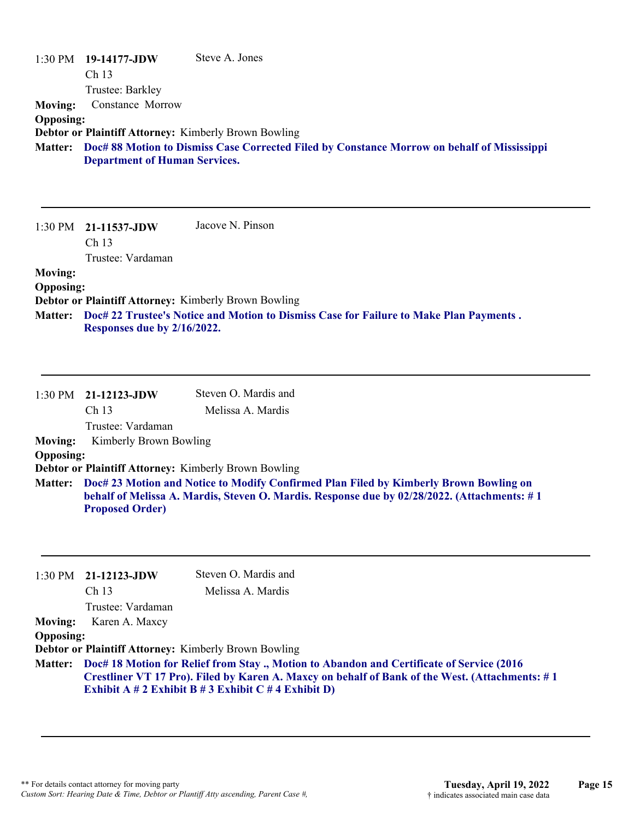|                  | $1:30 \text{ PM}$ 19-14177-JDW                              | Steve A. Jones                                                                                      |
|------------------|-------------------------------------------------------------|-----------------------------------------------------------------------------------------------------|
|                  | Ch <sub>13</sub>                                            |                                                                                                     |
|                  | Trustee: Barkley                                            |                                                                                                     |
| Moving:          | Constance Morrow                                            |                                                                                                     |
| <b>Opposing:</b> |                                                             |                                                                                                     |
|                  | <b>Debtor or Plaintiff Attorney: Kimberly Brown Bowling</b> |                                                                                                     |
|                  | <b>Department of Human Services.</b>                        | Matter: Doc# 88 Motion to Dismiss Case Corrected Filed by Constance Morrow on behalf of Mississippi |

1:30 PM **21-11537-JDW**  Ch 13 Trustee: Vardaman Jacove N. Pinson **Moving: Opposing: Debtor or Plaintiff Attorney:** Kimberly Brown Bowling **Doc# 22 Trustee's Notice and Motion to Dismiss Case for Failure to Make Plan Payments . Matter:**

**Responses due by 2/16/2022.**

|                  | $1:30$ PM $21-12123$ -JDW<br>Ch <sub>13</sub> | Steven O. Mardis and<br>Melissa A. Mardis                                                                                                                                                    |
|------------------|-----------------------------------------------|----------------------------------------------------------------------------------------------------------------------------------------------------------------------------------------------|
|                  | Trustee: Vardaman                             |                                                                                                                                                                                              |
| <b>Moving:</b>   | Kimberly Brown Bowling                        |                                                                                                                                                                                              |
| <b>Opposing:</b> |                                               |                                                                                                                                                                                              |
|                  |                                               | <b>Debtor or Plaintiff Attorney: Kimberly Brown Bowling</b>                                                                                                                                  |
|                  | <b>Proposed Order)</b>                        | Matter: Doc# 23 Motion and Notice to Modify Confirmed Plan Filed by Kimberly Brown Bowling on<br>behalf of Melissa A. Mardis, Steven O. Mardis. Response due by 02/28/2022. (Attachments: #1 |

|                  | $1:30$ PM $21-12123$ -JDW     | Steven O. Mardis and                                                                                                                                                                                                                                        |
|------------------|-------------------------------|-------------------------------------------------------------------------------------------------------------------------------------------------------------------------------------------------------------------------------------------------------------|
|                  | Ch <sub>13</sub>              | Melissa A. Mardis                                                                                                                                                                                                                                           |
|                  | Trustee: Vardaman             |                                                                                                                                                                                                                                                             |
|                  | <b>Moving:</b> Karen A. Maxcy |                                                                                                                                                                                                                                                             |
| <b>Opposing:</b> |                               |                                                                                                                                                                                                                                                             |
|                  |                               | <b>Debtor or Plaintiff Attorney: Kimberly Brown Bowling</b>                                                                                                                                                                                                 |
|                  |                               | Matter: Doc# 18 Motion for Relief from Stay., Motion to Abandon and Certificate of Service (2016)<br>Crestliner VT 17 Pro). Filed by Karen A. Maxcy on behalf of Bank of the West. (Attachments: #1<br>Exhibit A # 2 Exhibit B # 3 Exhibit C # 4 Exhibit D) |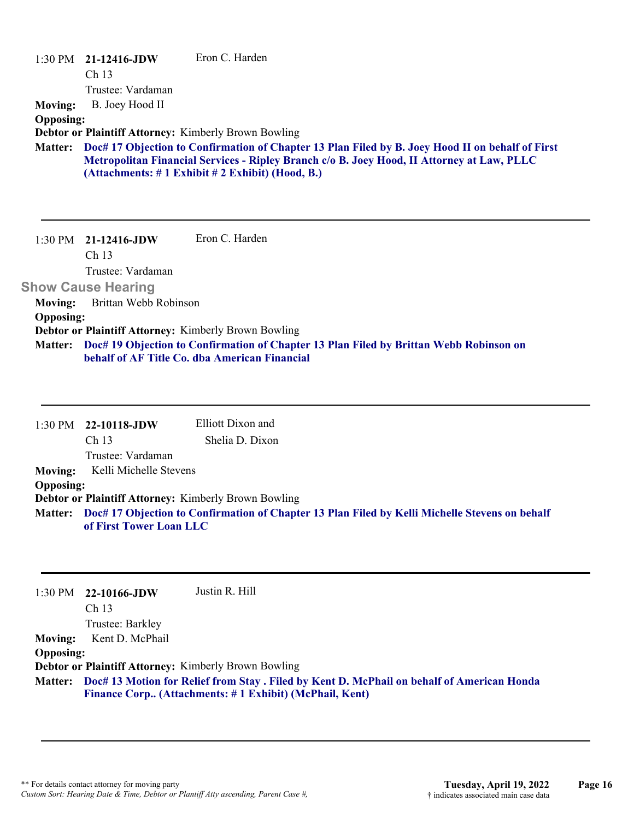|                           | $1:30 \text{ PM}$ 21-12416-JDW | Eron C. Harden                                                                                                                                                                                                                                    |
|---------------------------|--------------------------------|---------------------------------------------------------------------------------------------------------------------------------------------------------------------------------------------------------------------------------------------------|
|                           | Ch <sub>13</sub>               |                                                                                                                                                                                                                                                   |
|                           | Trustee: Vardaman              |                                                                                                                                                                                                                                                   |
| <b>Moving:</b>            | B. Joey Hood II                |                                                                                                                                                                                                                                                   |
| <b>Opposing:</b>          |                                |                                                                                                                                                                                                                                                   |
|                           |                                | <b>Debtor or Plaintiff Attorney: Kimberly Brown Bowling</b>                                                                                                                                                                                       |
| <b>Matter:</b>            |                                | Doc# 17 Objection to Confirmation of Chapter 13 Plan Filed by B. Joey Hood II on behalf of First<br>Metropolitan Financial Services - Ripley Branch c/o B. Joey Hood, II Attorney at Law, PLLC<br>(Attachments: #1 Exhibit #2 Exhibit) (Hood, B.) |
|                           | $1:30 \text{ PM}$ 21-12416-JDW | Eron C. Harden                                                                                                                                                                                                                                    |
|                           | Ch 13                          |                                                                                                                                                                                                                                                   |
|                           | Trustee: Vardaman              |                                                                                                                                                                                                                                                   |
|                           |                                |                                                                                                                                                                                                                                                   |
| <b>Show Cause Hearing</b> |                                |                                                                                                                                                                                                                                                   |
| <b>Moving:</b>            | Brittan Webb Robinson          |                                                                                                                                                                                                                                                   |
| <b>Opposing:</b>          |                                |                                                                                                                                                                                                                                                   |

**Doc# 19 Objection to Confirmation of Chapter 13 Plan Filed by Brittan Webb Robinson on behalf of AF Title Co. dba American Financial Matter:**

|                  | $1:30 \text{ PM}$ 22-10118-JDW                       | Elliott Dixon and                                                                                      |
|------------------|------------------------------------------------------|--------------------------------------------------------------------------------------------------------|
|                  | Ch <sub>13</sub>                                     | Shelia D. Dixon                                                                                        |
|                  | Trustee: Vardaman                                    |                                                                                                        |
| Moving:          | Kelli Michelle Stevens                               |                                                                                                        |
| <b>Opposing:</b> |                                                      |                                                                                                        |
|                  | Debtor or Plaintiff Attorney: Kimberly Brown Bowling |                                                                                                        |
|                  |                                                      | Matter: Doc# 17 Objection to Confirmation of Chapter 13 Plan Filed by Kelli Michelle Stevens on behalf |
|                  | of First Tower Loan LLC                              |                                                                                                        |

|                  | $1:30 \text{ PM}$ 22-10166-JDW                              | Justin R. Hill                                                                                                                                               |
|------------------|-------------------------------------------------------------|--------------------------------------------------------------------------------------------------------------------------------------------------------------|
|                  | Ch <sub>13</sub>                                            |                                                                                                                                                              |
|                  | Trustee: Barkley                                            |                                                                                                                                                              |
| <b>Moving:</b>   | Kent D. McPhail                                             |                                                                                                                                                              |
| <b>Opposing:</b> |                                                             |                                                                                                                                                              |
|                  | <b>Debtor or Plaintiff Attorney: Kimberly Brown Bowling</b> |                                                                                                                                                              |
|                  |                                                             | Matter: Doc# 13 Motion for Relief from Stay . Filed by Kent D. McPhail on behalf of American Honda<br>Finance Corp (Attachments: #1 Exhibit) (McPhail, Kent) |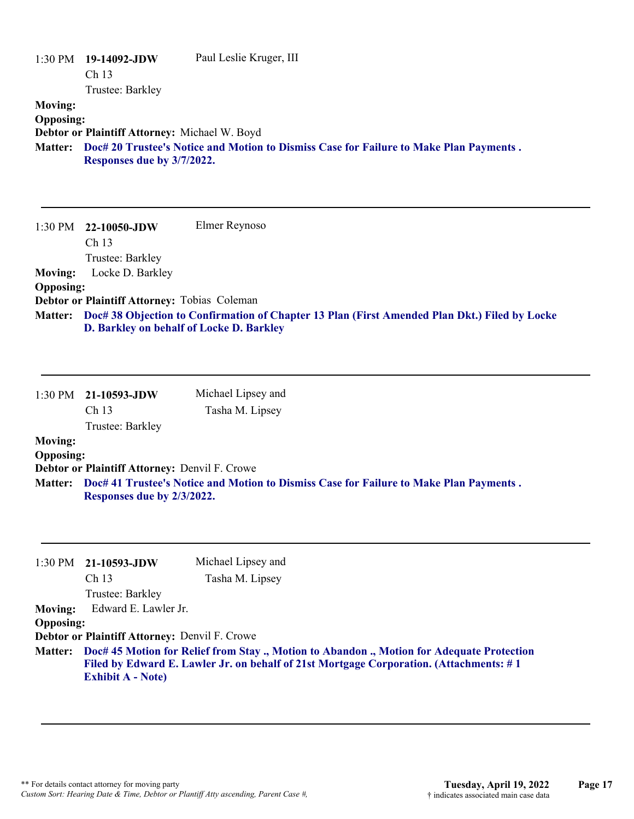|                                    | $1:30 \text{ PM}$ 19-14092-JDW<br>Ch <sub>13</sub>                          | Paul Leslie Kruger, III                                                                       |
|------------------------------------|-----------------------------------------------------------------------------|-----------------------------------------------------------------------------------------------|
| <b>Moving:</b><br><b>Opposing:</b> | Trustee: Barkley                                                            |                                                                                               |
| <b>Matter:</b>                     | Debtor or Plaintiff Attorney: Michael W. Boyd<br>Responses due by 3/7/2022. | Doc# 20 Trustee's Notice and Motion to Dismiss Case for Failure to Make Plan Payments.        |
| 1:30 PM                            | 22-10050-JDW<br>Ch 13<br>Trustee: Barkley                                   | Elmer Reynoso                                                                                 |
| <b>Moving:</b><br><b>Opposing:</b> | Locke D. Barkley<br>Debtor or Plaintiff Attorney: Tobias Coleman            |                                                                                               |
| Matter:                            | D. Barkley on behalf of Locke D. Barkley                                    | Doc# 38 Objection to Confirmation of Chapter 13 Plan (First Amended Plan Dkt.) Filed by Locke |
| 1:30 PM                            | 21-10593-JDW                                                                | Michael Lipsey and                                                                            |

|                  | 1:30 PM 21-10593-JDW                                 | Michael Lipsey and                                                                     |
|------------------|------------------------------------------------------|----------------------------------------------------------------------------------------|
|                  | Ch <sub>13</sub>                                     | Tasha M. Lipsey                                                                        |
|                  | Trustee: Barkley                                     |                                                                                        |
| <b>Moving:</b>   |                                                      |                                                                                        |
| <b>Opposing:</b> |                                                      |                                                                                        |
|                  | <b>Debtor or Plaintiff Attorney: Denvil F. Crowe</b> |                                                                                        |
| <b>Matter:</b>   | Responses due by 2/3/2022.                           | Doc# 41 Trustee's Notice and Motion to Dismiss Case for Failure to Make Plan Payments. |

| $1:30$ PM $21-10593$ -JDW                            | Michael Lipsey and                                                                                                                                                                          |
|------------------------------------------------------|---------------------------------------------------------------------------------------------------------------------------------------------------------------------------------------------|
| Ch <sub>13</sub>                                     | Tasha M. Lipsey                                                                                                                                                                             |
| Trustee: Barkley                                     |                                                                                                                                                                                             |
|                                                      |                                                                                                                                                                                             |
| <b>Opposing:</b>                                     |                                                                                                                                                                                             |
| <b>Debtor or Plaintiff Attorney: Denvil F. Crowe</b> |                                                                                                                                                                                             |
| <b>Exhibit A - Note)</b>                             | Matter: Doc# 45 Motion for Relief from Stay., Motion to Abandon., Motion for Adequate Protection<br>Filed by Edward E. Lawler Jr. on behalf of 21st Mortgage Corporation. (Attachments: #1) |
|                                                      | Edward E. Lawler Jr.                                                                                                                                                                        |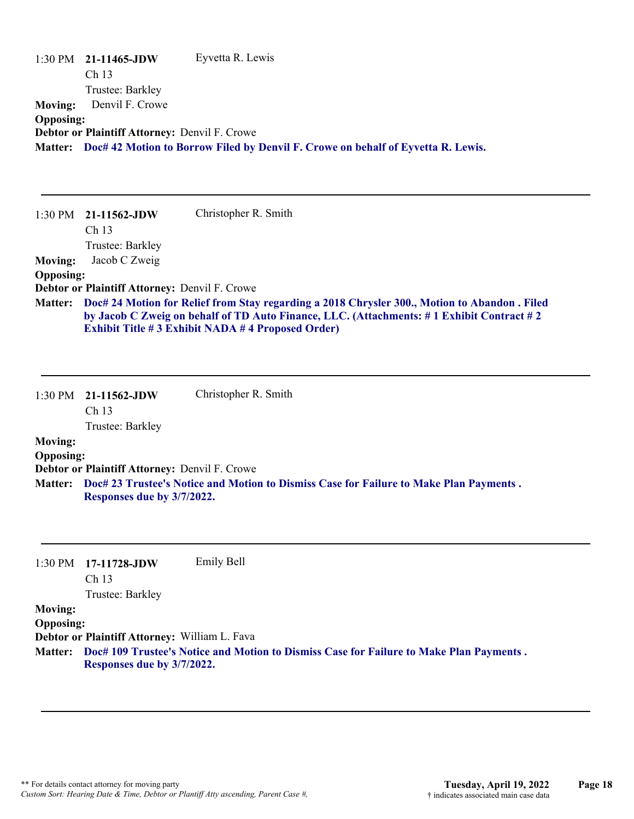|                  | $1:30 \text{ PM}$ 21-11465-JDW                       | Eyvetta R. Lewis                                                                         |
|------------------|------------------------------------------------------|------------------------------------------------------------------------------------------|
|                  | Ch <sub>13</sub>                                     |                                                                                          |
|                  | Trustee: Barkley                                     |                                                                                          |
| <b>Moving:</b>   | Denvil F. Crowe                                      |                                                                                          |
| <b>Opposing:</b> |                                                      |                                                                                          |
|                  | <b>Debtor or Plaintiff Attorney: Denvil F. Crowe</b> |                                                                                          |
|                  |                                                      | Matter: Doc# 42 Motion to Borrow Filed by Denvil F. Crowe on behalf of Eyvetta R. Lewis. |
|                  |                                                      |                                                                                          |

| $1:30$ PM        | 21-11562-JDW                                  | Christopher R. Smith                                                                                                                                                                                                                                         |
|------------------|-----------------------------------------------|--------------------------------------------------------------------------------------------------------------------------------------------------------------------------------------------------------------------------------------------------------------|
|                  | Ch <sub>13</sub>                              |                                                                                                                                                                                                                                                              |
|                  | Trustee: Barkley                              |                                                                                                                                                                                                                                                              |
| <b>Moving:</b>   | Jacob C Zweig                                 |                                                                                                                                                                                                                                                              |
| <b>Opposing:</b> |                                               |                                                                                                                                                                                                                                                              |
|                  | Debtor or Plaintiff Attorney: Denvil F. Crowe |                                                                                                                                                                                                                                                              |
|                  |                                               | Matter: Doc# 24 Motion for Relief from Stay regarding a 2018 Chrysler 300., Motion to Abandon . Filed<br>by Jacob C Zweig on behalf of TD Auto Finance, LLC. (Attachments: #1 Exhibit Contract #2<br><b>Exhibit Title #3 Exhibit NADA #4 Proposed Order)</b> |

|                  | $1:30 \text{ PM}$ 21-11562-JDW | Christopher R. Smith |
|------------------|--------------------------------|----------------------|
|                  | Ch <sub>13</sub>               |                      |
|                  | Trustee: Barkley               |                      |
| <b>Moving:</b>   |                                |                      |
| <b>Opposing:</b> |                                |                      |

**Debtor or Plaintiff Attorney:** Denvil F. Crowe

**Doc# 23 Trustee's Notice and Motion to Dismiss Case for Failure to Make Plan Payments . Matter: Responses due by 3/7/2022.**

1:30 PM **17-11728-JDW**  Ch 13 Trustee: Barkley Emily Bell

#### **Moving:**

**Opposing:**

**Debtor or Plaintiff Attorney:** William L. Fava

**Doc# 109 Trustee's Notice and Motion to Dismiss Case for Failure to Make Plan Payments . Matter: Responses due by 3/7/2022.**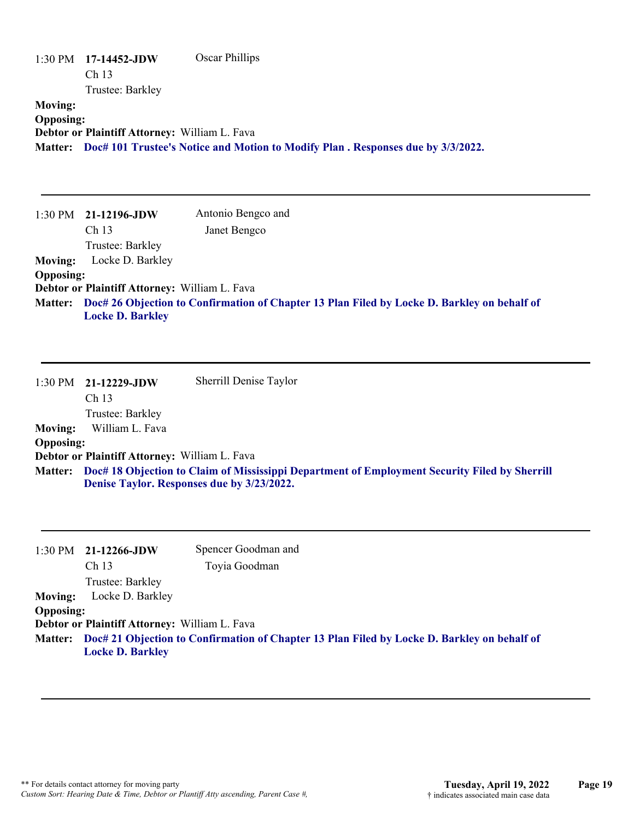|                                    | 1:30 PM 17-14452-JDW<br>Ch <sub>13</sub>      | <b>Oscar Phillips</b>                                                                                                                       |
|------------------------------------|-----------------------------------------------|---------------------------------------------------------------------------------------------------------------------------------------------|
|                                    | Trustee: Barkley                              |                                                                                                                                             |
| <b>Moving:</b><br><b>Opposing:</b> | Debtor or Plaintiff Attorney: William L. Fava | Matter: Doc# 101 Trustee's Notice and Motion to Modify Plan. Responses due by 3/3/2022.                                                     |
| 1:30 PM                            | 21-12196-JDW                                  | Antonio Bengco and                                                                                                                          |
|                                    | Ch <sub>13</sub>                              | Janet Bengco                                                                                                                                |
|                                    | Trustee: Barkley                              |                                                                                                                                             |
| <b>Moving:</b>                     | Locke D. Barkley                              |                                                                                                                                             |
| <b>Opposing:</b>                   | Debtor or Plaintiff Attorney: William L. Fava |                                                                                                                                             |
| <b>Matter:</b>                     | <b>Locke D. Barkley</b>                       | Doc# 26 Objection to Confirmation of Chapter 13 Plan Filed by Locke D. Barkley on behalf of                                                 |
| 1:30 PM                            | 21-12229-JDW<br>Ch <sub>13</sub>              | Sherrill Denise Taylor                                                                                                                      |
|                                    | Trustee: Barkley                              |                                                                                                                                             |
| <b>Moving:</b><br><b>Opposing:</b> | William L. Fava                               |                                                                                                                                             |
|                                    | Debtor or Plaintiff Attorney: William L. Fava |                                                                                                                                             |
| <b>Matter:</b>                     |                                               | Doc# 18 Objection to Claim of Mississippi Department of Employment Security Filed by Sherrill<br>Denise Taylor. Responses due by 3/23/2022. |
| 1:30 PM                            | 21-12266-JDW                                  | Spencer Goodman and                                                                                                                         |
|                                    | Ch 13                                         | Toyia Goodman                                                                                                                               |
|                                    | Trustee: Barkley                              |                                                                                                                                             |
| <b>Moving:</b><br><b>Opposing:</b> | Locke D. Barkley                              |                                                                                                                                             |
|                                    | Debtor or Plaintiff Attorney: William L. Fava |                                                                                                                                             |
| <b>Matter:</b>                     | <b>Locke D. Barkley</b>                       | Doc# 21 Objection to Confirmation of Chapter 13 Plan Filed by Locke D. Barkley on behalf of                                                 |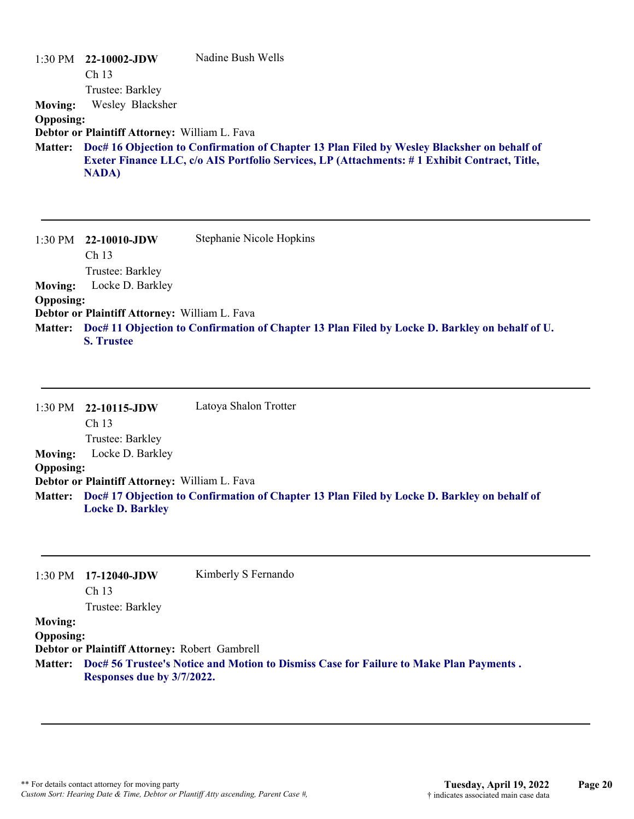|                  | $1:30 \text{ PM}$ 22-10002-JDW                | Nadine Bush Wells                                                                            |
|------------------|-----------------------------------------------|----------------------------------------------------------------------------------------------|
|                  | Ch <sub>13</sub>                              |                                                                                              |
|                  | Trustee: Barkley                              |                                                                                              |
| <b>Moving:</b>   | Wesley Blacksher                              |                                                                                              |
| <b>Opposing:</b> |                                               |                                                                                              |
|                  | Debtor or Plaintiff Attorney: William L. Fava |                                                                                              |
| <b>Matter:</b>   |                                               | Doc# 16 Objection to Confirmation of Chapter 13 Plan Filed by Wesley Blacksher on behalf of  |
|                  |                                               | Exeter Finance LLC, c/o AIS Portfolio Services, LP (Attachments: #1 Exhibit Contract, Title, |
|                  | <b>NADA</b>                                   |                                                                                              |
|                  |                                               |                                                                                              |

| $1:30$ PM        | 22-10010-JDW                                         | Stephanie Nicole Hopkins                                                                       |
|------------------|------------------------------------------------------|------------------------------------------------------------------------------------------------|
|                  | Ch <sub>13</sub>                                     |                                                                                                |
|                  | Trustee: Barkley                                     |                                                                                                |
| <b>Moving:</b>   | Locke D. Barkley                                     |                                                                                                |
| <b>Opposing:</b> |                                                      |                                                                                                |
|                  | <b>Debtor or Plaintiff Attorney: William L. Fava</b> |                                                                                                |
| <b>Matter:</b>   | <b>S. Trustee</b>                                    | Doc# 11 Objection to Confirmation of Chapter 13 Plan Filed by Locke D. Barkley on behalf of U. |

|                  | $1:30 \text{ PM}$ 22-10115-JDW                | Latoya Shalon Trotter                                                                               |
|------------------|-----------------------------------------------|-----------------------------------------------------------------------------------------------------|
|                  | Ch <sub>13</sub>                              |                                                                                                     |
|                  | Trustee: Barkley                              |                                                                                                     |
| <b>Moving:</b>   | Locke D. Barkley                              |                                                                                                     |
| <b>Opposing:</b> |                                               |                                                                                                     |
|                  | Debtor or Plaintiff Attorney: William L. Fava |                                                                                                     |
|                  | <b>Locke D. Barkley</b>                       | Matter: Doc# 17 Objection to Confirmation of Chapter 13 Plan Filed by Locke D. Barkley on behalf of |

| 1:30 PM          | $17-12040$ -JDW<br>Ch <sub>13</sub>           | Kimberly S Fernando                                                                            |
|------------------|-----------------------------------------------|------------------------------------------------------------------------------------------------|
|                  | Trustee: Barkley                              |                                                                                                |
| <b>Moving:</b>   |                                               |                                                                                                |
| <b>Opposing:</b> |                                               |                                                                                                |
|                  | Debtor or Plaintiff Attorney: Robert Gambrell |                                                                                                |
|                  | Responses due by 3/7/2022.                    | Matter: Doc# 56 Trustee's Notice and Motion to Dismiss Case for Failure to Make Plan Payments. |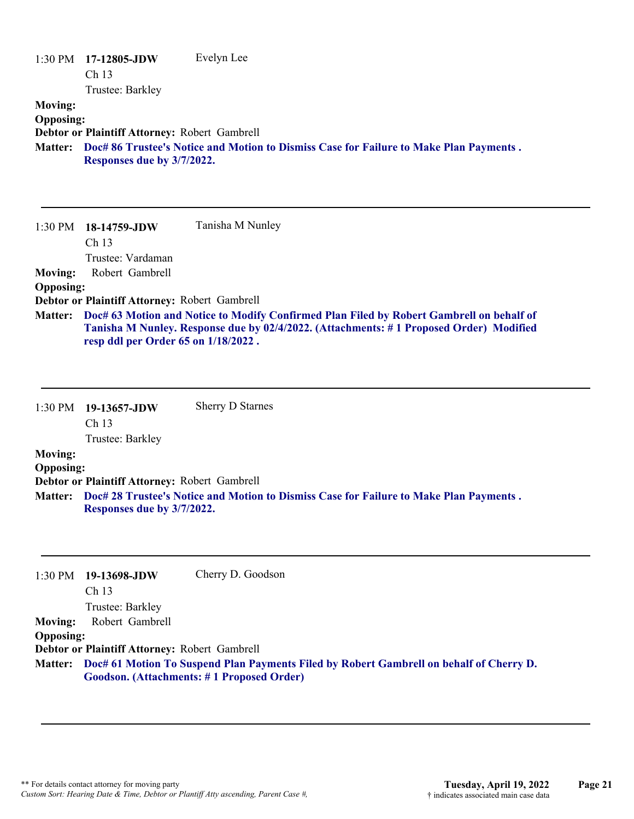|                  | 1:30 PM 17-12805-JDW                          | Evelyn Lee                                                                             |
|------------------|-----------------------------------------------|----------------------------------------------------------------------------------------|
|                  | Ch <sub>13</sub>                              |                                                                                        |
|                  | Trustee: Barkley                              |                                                                                        |
| <b>Moving:</b>   |                                               |                                                                                        |
| <b>Opposing:</b> |                                               |                                                                                        |
|                  | Debtor or Plaintiff Attorney: Robert Gambrell |                                                                                        |
| <b>Matter:</b>   | Responses due by 3/7/2022.                    | Doc# 86 Trustee's Notice and Motion to Dismiss Case for Failure to Make Plan Payments. |

1:30 PM **18-14759-JDW**  Ch 13 Trustee: Vardaman Tanisha M Nunley **Moving:** Robert Gambrell **Opposing: Debtor or Plaintiff Attorney:** Robert Gambrell **Doc# 63 Motion and Notice to Modify Confirmed Plan Filed by Robert Gambrell on behalf of Matter: Tanisha M Nunley. Response due by 02/4/2022. (Attachments: # 1 Proposed Order) Modified resp ddl per Order 65 on 1/18/2022 .**

|                  | 1:30 PM 19-13657-JDW                          | <b>Sherry D Starnes</b>                                                                        |
|------------------|-----------------------------------------------|------------------------------------------------------------------------------------------------|
|                  | Ch <sub>13</sub>                              |                                                                                                |
|                  | Trustee: Barkley                              |                                                                                                |
| <b>Moving:</b>   |                                               |                                                                                                |
| <b>Opposing:</b> |                                               |                                                                                                |
|                  | Debtor or Plaintiff Attorney: Robert Gambrell |                                                                                                |
|                  | Responses due by 3/7/2022.                    | Matter: Doc# 28 Trustee's Notice and Motion to Dismiss Case for Failure to Make Plan Payments. |

|                  | 1:30 PM 19-13698-JDW                          | Cherry D. Goodson                                                                               |
|------------------|-----------------------------------------------|-------------------------------------------------------------------------------------------------|
|                  | Ch <sub>13</sub>                              |                                                                                                 |
|                  | Trustee: Barkley                              |                                                                                                 |
| <b>Moving:</b>   | Robert Gambrell                               |                                                                                                 |
| <b>Opposing:</b> |                                               |                                                                                                 |
|                  | Debtor or Plaintiff Attorney: Robert Gambrell |                                                                                                 |
|                  |                                               | Matter: Doc# 61 Motion To Suspend Plan Payments Filed by Robert Gambrell on behalf of Cherry D. |
|                  |                                               | Goodson. (Attachments: #1 Proposed Order)                                                       |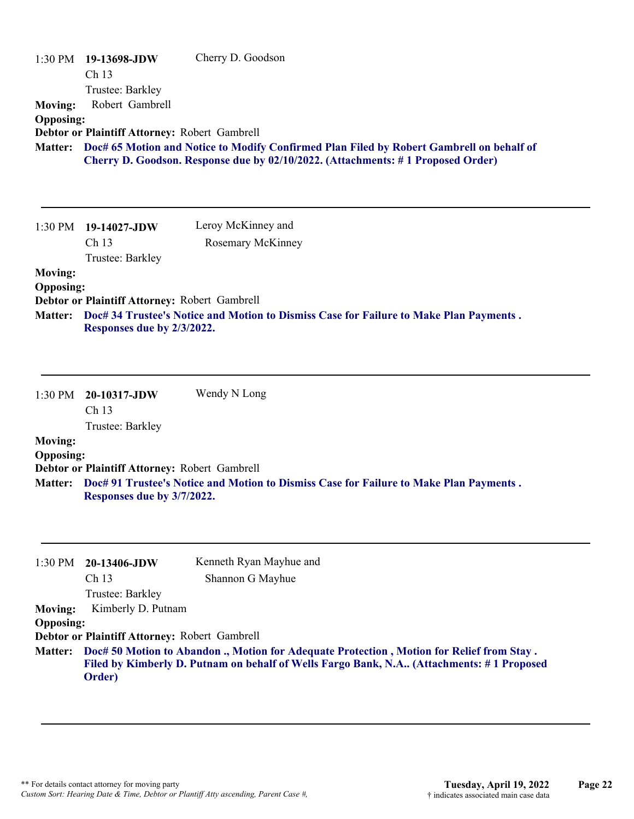| <b>Moving:</b><br><b>Opposing:</b><br><b>Matter:</b>            | 1:30 PM 19-13698-JDW<br>Ch 13<br>Trustee: Barkley<br>Robert Gambrell<br>Debtor or Plaintiff Attorney: Robert Gambrell                 | Cherry D. Goodson<br>Doc# 65 Motion and Notice to Modify Confirmed Plan Filed by Robert Gambrell on behalf of<br>Cherry D. Goodson. Response due by 02/10/2022. (Attachments: #1 Proposed Order)                                     |
|-----------------------------------------------------------------|---------------------------------------------------------------------------------------------------------------------------------------|--------------------------------------------------------------------------------------------------------------------------------------------------------------------------------------------------------------------------------------|
| 1:30 PM                                                         | 19-14027-JDW<br>Ch 13<br>Trustee: Barkley                                                                                             | Leroy McKinney and<br>Rosemary McKinney                                                                                                                                                                                              |
| <b>Moving:</b><br><b>Opposing:</b><br>Matter:                   | Debtor or Plaintiff Attorney: Robert Gambrell<br>Responses due by 2/3/2022.                                                           | Doc# 34 Trustee's Notice and Motion to Dismiss Case for Failure to Make Plan Payments.                                                                                                                                               |
| 1:30 PM<br><b>Moving:</b><br><b>Opposing:</b><br><b>Matter:</b> | 20-10317-JDW<br>Ch <sub>13</sub><br>Trustee: Barkley<br>Debtor or Plaintiff Attorney: Robert Gambrell                                 | Wendy N Long<br>Doc# 91 Trustee's Notice and Motion to Dismiss Case for Failure to Make Plan Payments.                                                                                                                               |
|                                                                 | Responses due by 3/7/2022.                                                                                                            |                                                                                                                                                                                                                                      |
| 1:30 PM<br><b>Moving:</b><br><b>Opposing:</b><br><b>Matter:</b> | 20-13406-JDW<br>Ch <sub>13</sub><br>Trustee: Barkley<br>Kimberly D. Putnam<br>Debtor or Plaintiff Attorney: Robert Gambrell<br>Order) | Kenneth Ryan Mayhue and<br>Shannon G Mayhue<br>Doc# 50 Motion to Abandon ., Motion for Adequate Protection, Motion for Relief from Stay.<br>Filed by Kimberly D. Putnam on behalf of Wells Fargo Bank, N.A (Attachments: #1 Proposed |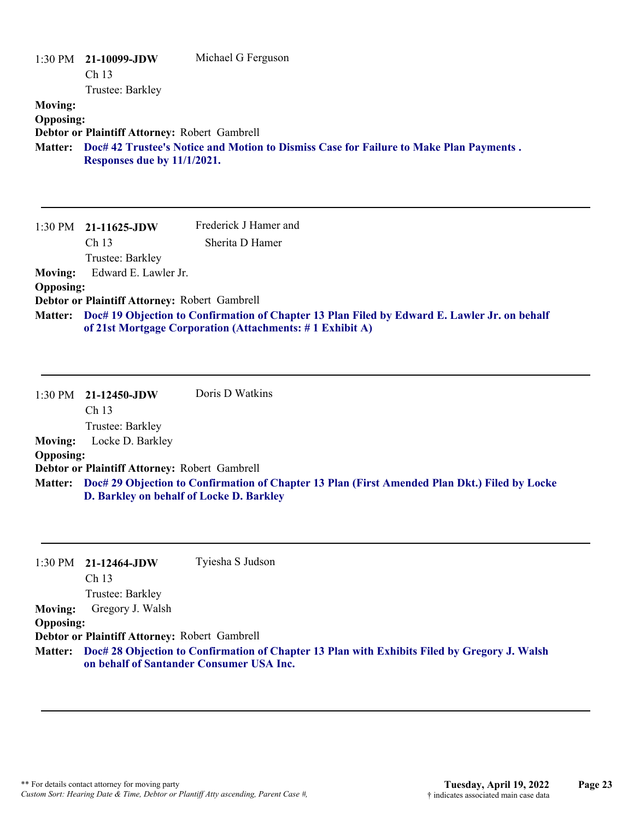| 1:30 PM<br><b>Moving:</b><br><b>Opposing:</b> | 21-10099-JDW<br>Ch <sub>13</sub><br>Trustee: Barkley<br>Debtor or Plaintiff Attorney: Robert Gambrell | Michael G Ferguson                                                                                                                                       |
|-----------------------------------------------|-------------------------------------------------------------------------------------------------------|----------------------------------------------------------------------------------------------------------------------------------------------------------|
| <b>Matter:</b>                                | Responses due by 11/1/2021.                                                                           | Doc# 42 Trustee's Notice and Motion to Dismiss Case for Failure to Make Plan Payments.                                                                   |
| 1:30 PM                                       | 21-11625-JDW                                                                                          | Frederick J Hamer and                                                                                                                                    |
|                                               | Ch <sub>13</sub>                                                                                      | Sherita D Hamer                                                                                                                                          |
|                                               | Trustee: Barkley                                                                                      |                                                                                                                                                          |
| <b>Moving:</b>                                | Edward E. Lawler Jr.                                                                                  |                                                                                                                                                          |
| <b>Opposing:</b>                              |                                                                                                       |                                                                                                                                                          |
| <b>Matter:</b>                                | Debtor or Plaintiff Attorney: Robert Gambrell                                                         | Doc# 19 Objection to Confirmation of Chapter 13 Plan Filed by Edward E. Lawler Jr. on behalf<br>of 21st Mortgage Corporation (Attachments: #1 Exhibit A) |
| 1:30 PM                                       | 21-12450-JDW<br>Ch <sub>13</sub><br>Trustee: Barkley                                                  | Doris D Watkins                                                                                                                                          |
| <b>Moving:</b>                                | Locke D. Barkley                                                                                      |                                                                                                                                                          |
| <b>Opposing:</b>                              |                                                                                                       |                                                                                                                                                          |
|                                               | Debtor or Plaintiff Attorney: Robert Gambrell                                                         |                                                                                                                                                          |
| <b>Matter:</b>                                | D. Barkley on behalf of Locke D. Barkley                                                              | Doc# 29 Objection to Confirmation of Chapter 13 Plan (First Amended Plan Dkt.) Filed by Locke                                                            |
|                                               |                                                                                                       |                                                                                                                                                          |

| 1:30 PM          | 21-12464-JDW                                  | Tyiesha S Judson                                                                                     |
|------------------|-----------------------------------------------|------------------------------------------------------------------------------------------------------|
|                  | Ch <sub>13</sub>                              |                                                                                                      |
|                  | Trustee: Barkley                              |                                                                                                      |
| <b>Moving:</b>   | Gregory J. Walsh                              |                                                                                                      |
| <b>Opposing:</b> |                                               |                                                                                                      |
|                  | Debtor or Plaintiff Attorney: Robert Gambrell |                                                                                                      |
|                  |                                               | Matter: Doc# 28 Objection to Confirmation of Chapter 13 Plan with Exhibits Filed by Gregory J. Walsh |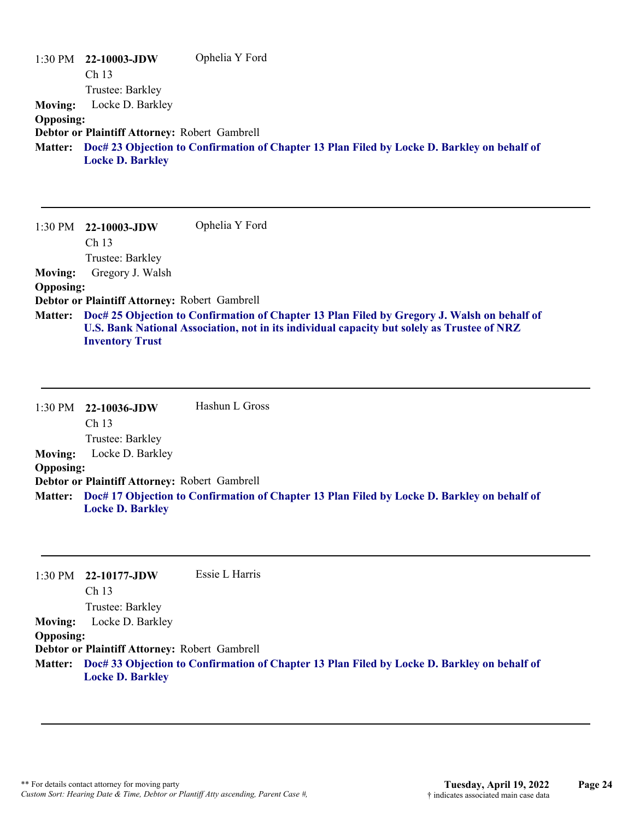|                  | $1:30$ PM $22-10003$ -JDW                     | Ophelia Y Ford                                                                                      |
|------------------|-----------------------------------------------|-----------------------------------------------------------------------------------------------------|
|                  | Ch <sub>13</sub>                              |                                                                                                     |
|                  | Trustee: Barkley                              |                                                                                                     |
| <b>Moving:</b>   | Locke D. Barkley                              |                                                                                                     |
| <b>Opposing:</b> |                                               |                                                                                                     |
|                  | Debtor or Plaintiff Attorney: Robert Gambrell |                                                                                                     |
|                  | <b>Locke D. Barkley</b>                       | Matter: Doc# 23 Objection to Confirmation of Chapter 13 Plan Filed by Locke D. Barkley on behalf of |

1:30 PM **22-10003-JDW**  Ch 13 Trustee: Barkley Ophelia Y Ford **Moving:** Gregory J. Walsh **Opposing: Debtor or Plaintiff Attorney:** Robert Gambrell **Doc# 25 Objection to Confirmation of Chapter 13 Plan Filed by Gregory J. Walsh on behalf of Matter: U.S. Bank National Association, not in its individual capacity but solely as Trustee of NRZ Inventory Trust**

1:30 PM **22-10036-JDW**  Ch 13 Trustee: Barkley Hashun L Gross **Moving:** Locke D. Barkley **Opposing: Debtor or Plaintiff Attorney:** Robert Gambrell **Doc# 17 Objection to Confirmation of Chapter 13 Plan Filed by Locke D. Barkley on behalf of Matter: Locke D. Barkley**

|                  | 1:30 PM 22-10177-JDW                          | Essie L Harris                                                                                      |
|------------------|-----------------------------------------------|-----------------------------------------------------------------------------------------------------|
|                  | Ch <sub>13</sub>                              |                                                                                                     |
|                  | Trustee: Barkley                              |                                                                                                     |
| <b>Moving:</b>   | Locke D. Barkley                              |                                                                                                     |
| <b>Opposing:</b> |                                               |                                                                                                     |
|                  | Debtor or Plaintiff Attorney: Robert Gambrell |                                                                                                     |
|                  |                                               | Matter: Doc# 33 Objection to Confirmation of Chapter 13 Plan Filed by Locke D. Barkley on behalf of |
|                  | <b>Locke D. Barkley</b>                       |                                                                                                     |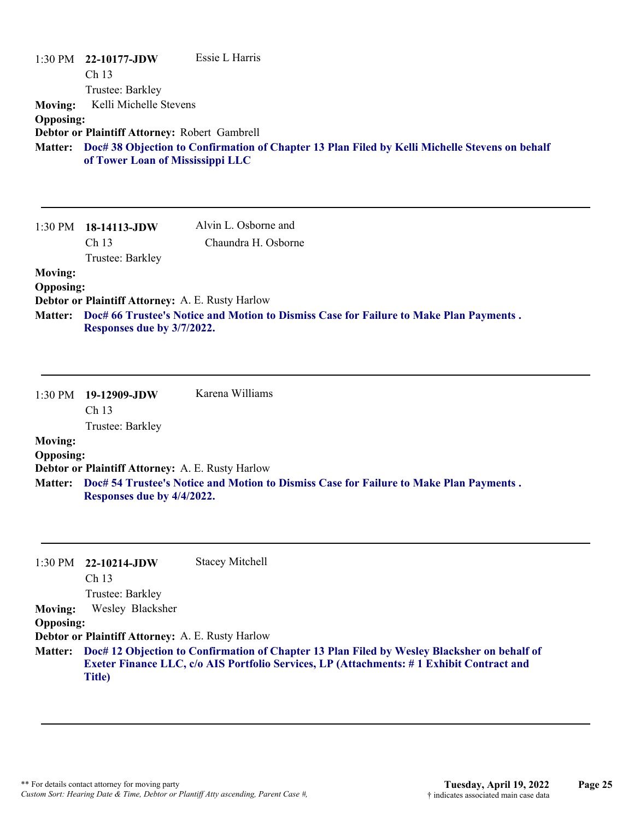| 1:30 PM                                              | 22-10177-JDW<br>Ch <sub>13</sub><br>Trustee: Barkley                                                        | Essie L Harris                                                                                 |
|------------------------------------------------------|-------------------------------------------------------------------------------------------------------------|------------------------------------------------------------------------------------------------|
| <b>Moving:</b><br><b>Opposing:</b><br><b>Matter:</b> | Kelli Michelle Stevens<br>Debtor or Plaintiff Attorney: Robert Gambrell<br>of Tower Loan of Mississippi LLC | Doc# 38 Objection to Confirmation of Chapter 13 Plan Filed by Kelli Michelle Stevens on behalf |
| 1:30 PM                                              | 18-14113-JDW<br>Ch 13<br>Trustee: Barkley                                                                   | Alvin L. Osborne and<br>Chaundra H. Osborne                                                    |
| <b>Moving:</b><br><b>Opposing:</b><br><b>Matter:</b> | Debtor or Plaintiff Attorney: A. E. Rusty Harlow<br>Responses due by 3/7/2022.                              | Doc# 66 Trustee's Notice and Motion to Dismiss Case for Failure to Make Plan Payments.         |
| 1:30 PM                                              | 19-12909-JDW<br>Ch 13<br>Trustee: Barkley                                                                   | Karena Williams                                                                                |
| <b>Moving:</b><br><b>Opposing:</b><br><b>Matter:</b> | Debtor or Plaintiff Attorney: A. E. Rusty Harlow<br>Responses due by 4/4/2022.                              | Doc# 54 Trustee's Notice and Motion to Dismiss Case for Failure to Make Plan Payments.         |
| 1:30 PM<br><b>Moving:</b><br><b>Opposing:</b>        | 22-10214-JDW<br>Ch 13<br>Trustee: Barkley<br>Wesley Blacksher                                               | <b>Stacey Mitchell</b>                                                                         |

**Debtor or Plaintiff Attorney:** A. E. Rusty Harlow

**Doc# 12 Objection to Confirmation of Chapter 13 Plan Filed by Wesley Blacksher on behalf of Matter: Exeter Finance LLC, c/o AIS Portfolio Services, LP (Attachments: # 1 Exhibit Contract and Title)**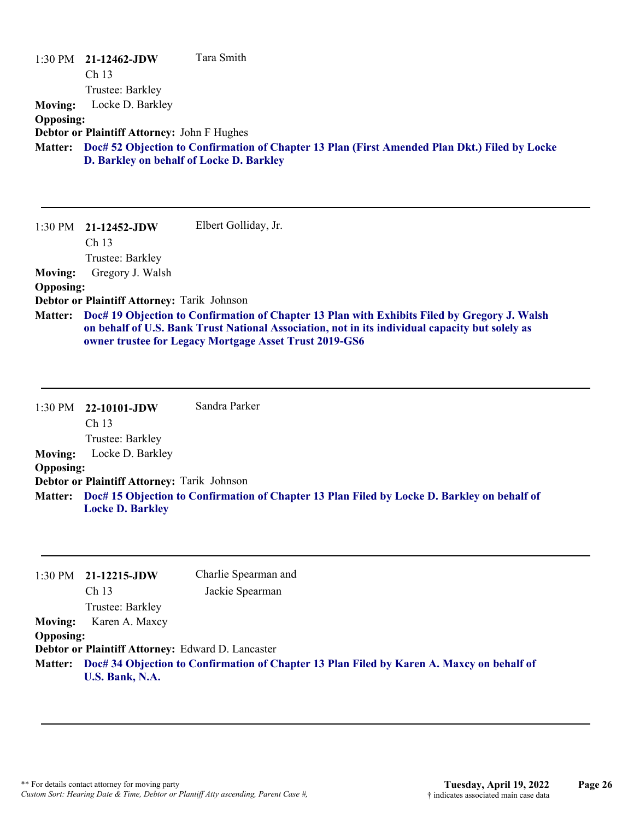| 1:30 PM          | 21-12462-JDW<br>Ch <sub>13</sub><br>Trustee: Barkley | Tara Smith                                                                                                                                                                                                                                                |
|------------------|------------------------------------------------------|-----------------------------------------------------------------------------------------------------------------------------------------------------------------------------------------------------------------------------------------------------------|
| <b>Moving:</b>   | Locke D. Barkley                                     |                                                                                                                                                                                                                                                           |
| <b>Opposing:</b> |                                                      |                                                                                                                                                                                                                                                           |
|                  | <b>Debtor or Plaintiff Attorney: John F Hughes</b>   |                                                                                                                                                                                                                                                           |
| <b>Matter:</b>   |                                                      | Doc# 52 Objection to Confirmation of Chapter 13 Plan (First Amended Plan Dkt.) Filed by Locke                                                                                                                                                             |
|                  | D. Barkley on behalf of Locke D. Barkley             |                                                                                                                                                                                                                                                           |
|                  |                                                      |                                                                                                                                                                                                                                                           |
| $1:30$ PM        | $21-12452$ -JDW<br>Ch <sub>13</sub>                  | Elbert Golliday, Jr.                                                                                                                                                                                                                                      |
|                  |                                                      |                                                                                                                                                                                                                                                           |
|                  | Trustee: Barkley                                     |                                                                                                                                                                                                                                                           |
| <b>Moving:</b>   | Gregory J. Walsh                                     |                                                                                                                                                                                                                                                           |
| <b>Opposing:</b> |                                                      |                                                                                                                                                                                                                                                           |
|                  | Debtor or Plaintiff Attorney: Tarik Johnson          |                                                                                                                                                                                                                                                           |
| <b>Matter:</b>   |                                                      | Doc# 19 Objection to Confirmation of Chapter 13 Plan with Exhibits Filed by Gregory J. Walsh<br>on behalf of U.S. Bank Trust National Association, not in its individual capacity but solely as<br>owner trustee for Legacy Mortgage Asset Trust 2019-GS6 |

1:30 PM **22-10101-JDW**  Ch 13 Trustee: Barkley Sandra Parker **Moving:** Locke D. Barkley **Opposing: Debtor or Plaintiff Attorney:** Tarik Johnson **Doc# 15 Objection to Confirmation of Chapter 13 Plan Filed by Locke D. Barkley on behalf of Matter: Locke D. Barkley**

|                  | $1:30 \text{ PM}$ 21-12215-JDW                                                                                       | Charlie Spearman and |
|------------------|----------------------------------------------------------------------------------------------------------------------|----------------------|
|                  | Ch <sub>13</sub>                                                                                                     | Jackie Spearman      |
|                  | Trustee: Barkley                                                                                                     |                      |
| <b>Moving:</b>   | Karen A. Maxcy                                                                                                       |                      |
| <b>Opposing:</b> |                                                                                                                      |                      |
|                  | Debtor or Plaintiff Attorney: Edward D. Lancaster                                                                    |                      |
|                  | Matter: Doc# 34 Objection to Confirmation of Chapter 13 Plan Filed by Karen A. Maxcy on behalf of<br>U.S. Bank, N.A. |                      |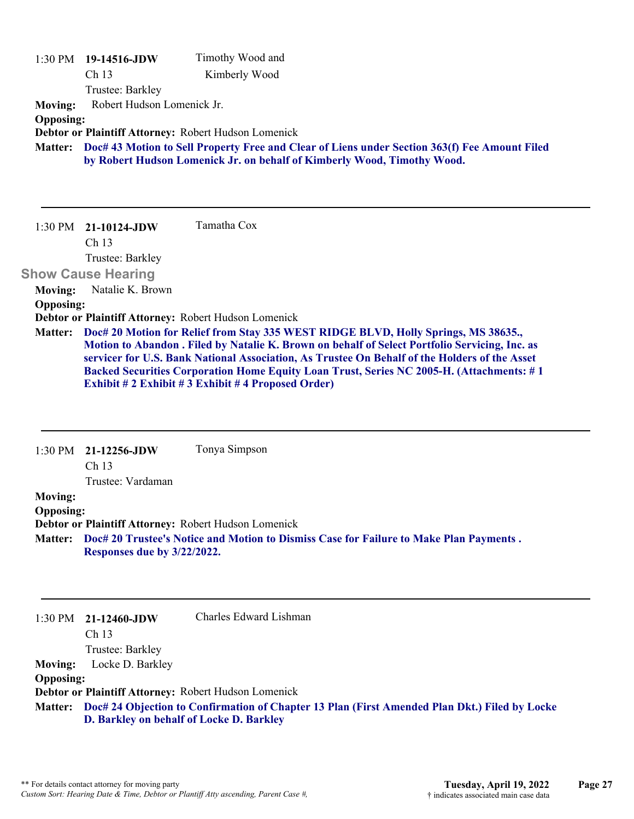|                  | 1:30 PM 19-14516-JDW       | Timothy Wood and                                                                                                                                                         |
|------------------|----------------------------|--------------------------------------------------------------------------------------------------------------------------------------------------------------------------|
|                  | Ch <sub>13</sub>           | Kimberly Wood                                                                                                                                                            |
|                  | Trustee: Barkley           |                                                                                                                                                                          |
| <b>Moving:</b>   | Robert Hudson Lomenick Jr. |                                                                                                                                                                          |
| <b>Opposing:</b> |                            |                                                                                                                                                                          |
|                  |                            | Debtor or Plaintiff Attorney: Robert Hudson Lomenick                                                                                                                     |
| <b>Matter:</b>   |                            | Doc# 43 Motion to Sell Property Free and Clear of Liens under Section 363(f) Fee Amount Filed<br>by Robert Hudson Lomenick Jr. on behalf of Kimberly Wood, Timothy Wood. |
|                  |                            |                                                                                                                                                                          |
| $1:30$ PM        | $21 - 10124 - JDW$         | Tamatha Cox                                                                                                                                                              |
|                  | Ch <sub>13</sub>           |                                                                                                                                                                          |
|                  | Trustee: Barkley           |                                                                                                                                                                          |
|                  | <b>Show Cause Hearing</b>  |                                                                                                                                                                          |
| <b>Moving:</b>   | Natalie K. Brown           |                                                                                                                                                                          |
| <b>Opposing:</b> |                            |                                                                                                                                                                          |
|                  |                            | Debtor or Plaintiff Attorney: Robert Hudson Lomenick                                                                                                                     |
| <b>Matter:</b>   |                            | Doc# 20 Motion for Relief from Stay 335 WEST RIDGE BLVD, Holly Springs, MS 38635.,                                                                                       |
|                  |                            | Motion to Abandon . Filed by Natalie K. Brown on behalf of Select Portfolio Servicing, Inc. as                                                                           |
|                  |                            | servicer for U.S. Bank National Association, As Trustee On Behalf of the Holders of the Asset                                                                            |
|                  |                            | <b>Backed Securities Corporation Home Equity Loan Trust, Series NC 2005-H. (Attachments: #1</b>                                                                          |
|                  |                            | Exhibit # 2 Exhibit # 3 Exhibit # 4 Proposed Order)                                                                                                                      |

|                  | $1:30 \text{ PM}$ 21-12256-JDW           | Tonya Simpson                                                                                         |
|------------------|------------------------------------------|-------------------------------------------------------------------------------------------------------|
|                  | Ch <sub>13</sub>                         |                                                                                                       |
|                  | Trustee: Vardaman                        |                                                                                                       |
| <b>Moving:</b>   |                                          |                                                                                                       |
| <b>Opposing:</b> |                                          |                                                                                                       |
|                  |                                          | Debtor or Plaintiff Attorney: Robert Hudson Lomenick                                                  |
| <b>Matter:</b>   |                                          | Doc# 20 Trustee's Notice and Motion to Dismiss Case for Failure to Make Plan Payments.                |
|                  | Responses due by 3/22/2022.              |                                                                                                       |
|                  |                                          |                                                                                                       |
|                  |                                          |                                                                                                       |
|                  |                                          |                                                                                                       |
|                  | $1:30 \text{ PM}$ 21-12460-JDW           | Charles Edward Lishman                                                                                |
|                  | Ch <sub>13</sub>                         |                                                                                                       |
|                  | Trustee: Barkley                         |                                                                                                       |
| <b>Moving:</b>   | Locke D. Barkley                         |                                                                                                       |
| <b>Opposing:</b> |                                          |                                                                                                       |
|                  |                                          | Debtor or Plaintiff Attorney: Robert Hudson Lomenick                                                  |
|                  |                                          | Matter: Doc# 24 Objection to Confirmation of Chapter 13 Plan (First Amended Plan Dkt.) Filed by Locke |
|                  | D. Barkley on behalf of Locke D. Barkley |                                                                                                       |
|                  |                                          |                                                                                                       |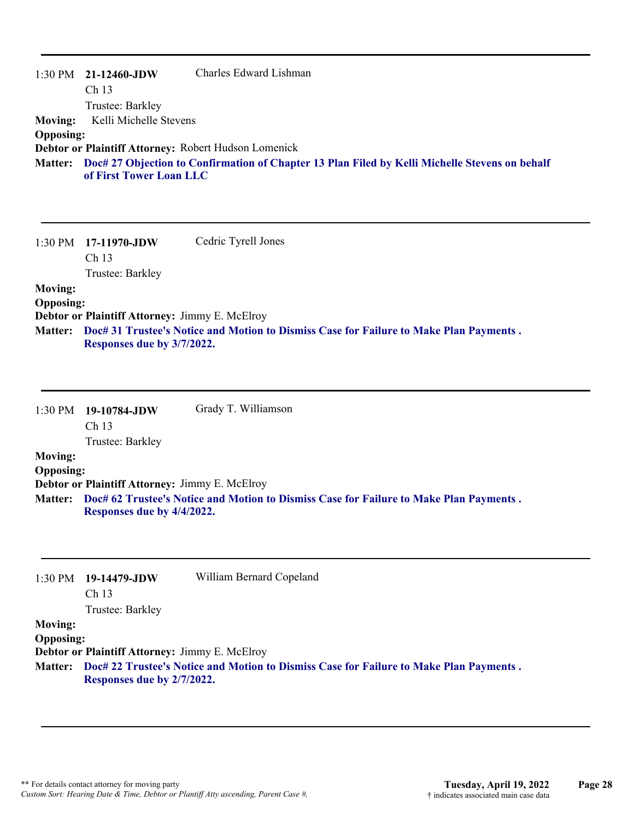|                  | $1:30 \text{ PM}$ 21-12460-JDW                       | Charles Edward Lishman                                                                                 |
|------------------|------------------------------------------------------|--------------------------------------------------------------------------------------------------------|
|                  | Ch <sub>13</sub>                                     |                                                                                                        |
|                  | Trustee: Barkley                                     |                                                                                                        |
| <b>Moving:</b>   | Kelli Michelle Stevens                               |                                                                                                        |
| <b>Opposing:</b> |                                                      |                                                                                                        |
|                  | Debtor or Plaintiff Attorney: Robert Hudson Lomenick |                                                                                                        |
|                  | of First Tower Loan LLC                              | Matter: Doc# 27 Objection to Confirmation of Chapter 13 Plan Filed by Kelli Michelle Stevens on behalf |

1:30 PM **17-11970-JDW**  Ch 13 Trustee: Barkley Cedric Tyrell Jones **Moving: Opposing: Debtor or Plaintiff Attorney:** Jimmy E. McElroy **Doc# 31 Trustee's Notice and Motion to Dismiss Case for Failure to Make Plan Payments . Matter:**

**Responses due by 3/7/2022.**

| $1:30 \text{ PM}$ 19-10784-JDW | Grady T. Williamson |  |
|--------------------------------|---------------------|--|
| Ch <sub>13</sub>               |                     |  |

Trustee: Barkley

#### **Moving:**

#### **Opposing:**

**Debtor or Plaintiff Attorney:** Jimmy E. McElroy

**Doc# 62 Trustee's Notice and Motion to Dismiss Case for Failure to Make Plan Payments . Matter: Responses due by 4/4/2022.**

| 1:30 PM          | 19-14479-JDW                                          | William Bernard Copeland                                                               |
|------------------|-------------------------------------------------------|----------------------------------------------------------------------------------------|
|                  | Ch <sub>13</sub>                                      |                                                                                        |
|                  | Trustee: Barkley                                      |                                                                                        |
| <b>Moving:</b>   |                                                       |                                                                                        |
| <b>Opposing:</b> |                                                       |                                                                                        |
|                  | <b>Debtor or Plaintiff Attorney: Jimmy E. McElroy</b> |                                                                                        |
| <b>Matter:</b>   | Responses due by 2/7/2022.                            | Doc# 22 Trustee's Notice and Motion to Dismiss Case for Failure to Make Plan Payments. |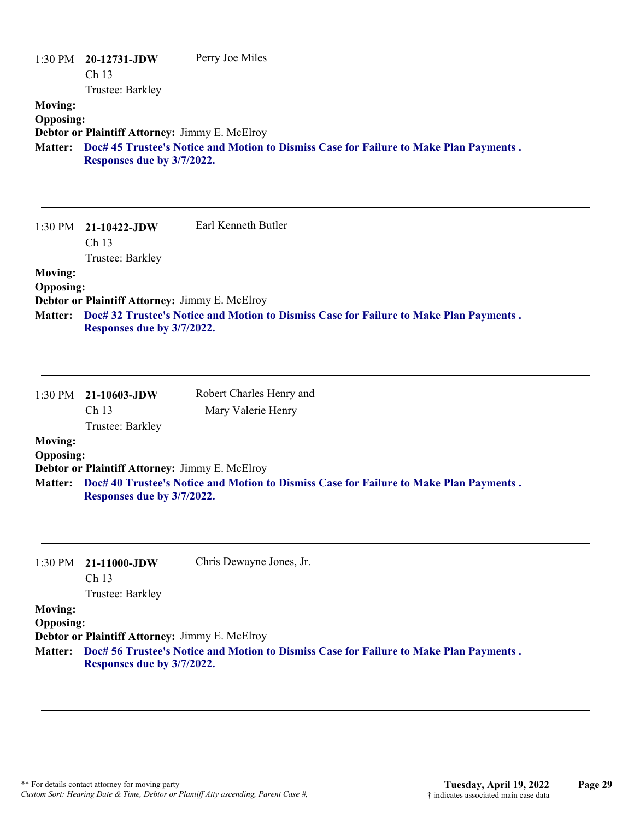| 1:30 PM<br><b>Moving:</b><br><b>Opposing:</b><br><b>Matter:</b> | 20-12731-JDW<br>Ch 13<br>Trustee: Barkley<br>Debtor or Plaintiff Attorney: Jimmy E. McElroy<br>Responses due by 3/7/2022. | Perry Joe Miles<br>Doc# 45 Trustee's Notice and Motion to Dismiss Case for Failure to Make Plan Payments. |
|-----------------------------------------------------------------|---------------------------------------------------------------------------------------------------------------------------|-----------------------------------------------------------------------------------------------------------|
| 1:30 PM                                                         | 21-10422-JDW<br>Ch 13<br>Trustee: Barkley                                                                                 | Earl Kenneth Butler                                                                                       |
| <b>Moving:</b><br><b>Opposing:</b><br><b>Matter:</b>            | Debtor or Plaintiff Attorney: Jimmy E. McElroy<br>Responses due by 3/7/2022.                                              | Doc# 32 Trustee's Notice and Motion to Dismiss Case for Failure to Make Plan Payments.                    |
| 1:30 PM<br><b>Moving:</b>                                       | 21-10603-JDW<br>Ch 13<br>Trustee: Barkley                                                                                 | Robert Charles Henry and<br>Mary Valerie Henry                                                            |
| <b>Opposing:</b><br><b>Matter:</b>                              | Debtor or Plaintiff Attorney: Jimmy E. McElroy<br>Responses due by 3/7/2022.                                              | Doc# 40 Trustee's Notice and Motion to Dismiss Case for Failure to Make Plan Payments.                    |
| 1:30 PM                                                         | 21-11000-JDW<br>Ch 13<br>Trustee: Barkley                                                                                 | Chris Dewayne Jones, Jr.                                                                                  |
| <b>Moving:</b><br><b>Opposing:</b><br><b>Matter:</b>            | Debtor or Plaintiff Attorney: Jimmy E. McElroy<br>Responses due by 3/7/2022.                                              | Doc# 56 Trustee's Notice and Motion to Dismiss Case for Failure to Make Plan Payments.                    |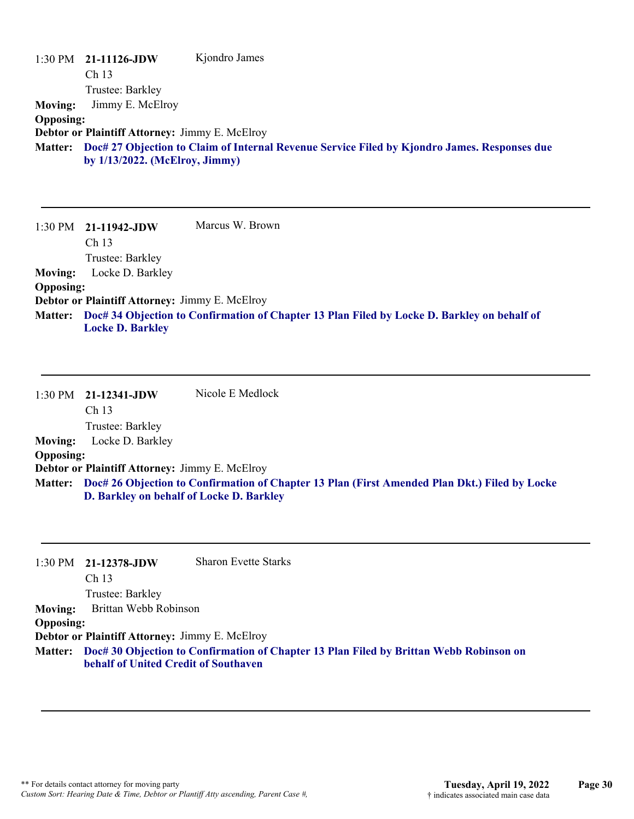|                  | $1:30 \text{ PM}$ 21-11126-JDW                 | Kjondro James                                                                                |
|------------------|------------------------------------------------|----------------------------------------------------------------------------------------------|
|                  | Ch <sub>13</sub>                               |                                                                                              |
|                  | Trustee: Barkley                               |                                                                                              |
| <b>Moving:</b>   | Jimmy E. McElroy                               |                                                                                              |
| <b>Opposing:</b> |                                                |                                                                                              |
|                  | Debtor or Plaintiff Attorney: Jimmy E. McElroy |                                                                                              |
| <b>Matter:</b>   | by $1/13/2022$ . (McElroy, Jimmy)              | Doc# 27 Objection to Claim of Internal Revenue Service Filed by Kjondro James. Responses due |

1:30 PM **21-11942-JDW**  Ch 13 Trustee: Barkley Marcus W. Brown **Moving:** Locke D. Barkley **Opposing: Debtor or Plaintiff Attorney:** Jimmy E. McElroy **Doc# 34 Objection to Confirmation of Chapter 13 Plan Filed by Locke D. Barkley on behalf of Matter: Locke D. Barkley**

|                  | $1:30$ PM $21-12341$ -JDW                             | Nicole E Medlock                                                                                      |
|------------------|-------------------------------------------------------|-------------------------------------------------------------------------------------------------------|
|                  | Ch <sub>13</sub>                                      |                                                                                                       |
|                  | Trustee: Barkley                                      |                                                                                                       |
| <b>Moving:</b>   | Locke D. Barkley                                      |                                                                                                       |
| <b>Opposing:</b> |                                                       |                                                                                                       |
|                  | <b>Debtor or Plaintiff Attorney: Jimmy E. McElroy</b> |                                                                                                       |
|                  | D. Barkley on behalf of Locke D. Barkley              | Matter: Doc# 26 Objection to Confirmation of Chapter 13 Plan (First Amended Plan Dkt.) Filed by Locke |

|                  | $1:30 \text{ PM}$ 21-12378-JDW                        | <b>Sharon Evette Starks</b>                                                                    |
|------------------|-------------------------------------------------------|------------------------------------------------------------------------------------------------|
|                  | Ch <sub>13</sub>                                      |                                                                                                |
|                  | Trustee: Barkley                                      |                                                                                                |
| <b>Moving:</b>   | Brittan Webb Robinson                                 |                                                                                                |
| <b>Opposing:</b> |                                                       |                                                                                                |
|                  | <b>Debtor or Plaintiff Attorney: Jimmy E. McElroy</b> |                                                                                                |
|                  |                                                       | Matter: Doc# 30 Objection to Confirmation of Chapter 13 Plan Filed by Brittan Webb Robinson on |

**behalf of United Credit of Southaven**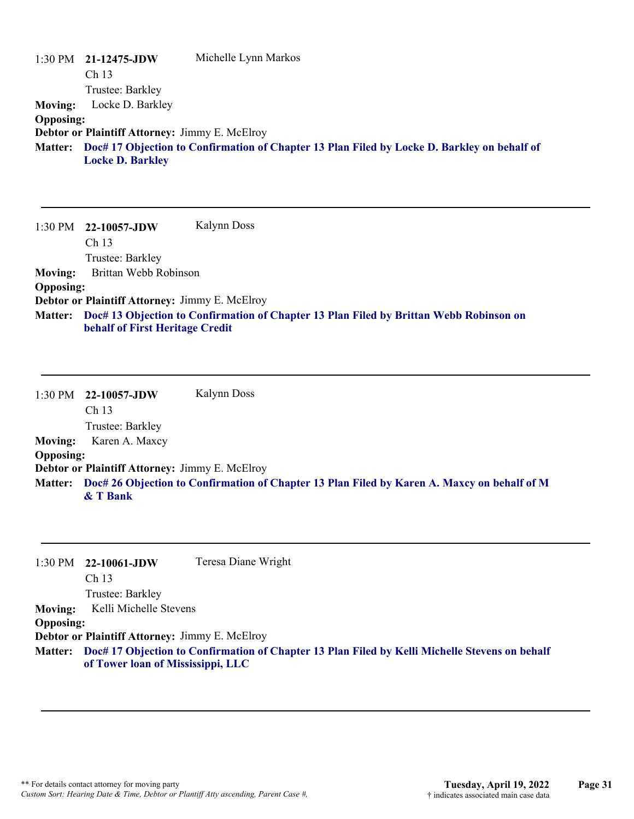|                  | $1:30 \text{ PM}$ 21-12475-JDW                        | Michelle Lynn Markos                                                                        |
|------------------|-------------------------------------------------------|---------------------------------------------------------------------------------------------|
|                  | Ch <sub>13</sub>                                      |                                                                                             |
|                  | Trustee: Barkley                                      |                                                                                             |
| <b>Moving:</b>   | Locke D. Barkley                                      |                                                                                             |
| <b>Opposing:</b> |                                                       |                                                                                             |
|                  | <b>Debtor or Plaintiff Attorney: Jimmy E. McElroy</b> |                                                                                             |
| <b>Matter:</b>   |                                                       | Doc# 17 Objection to Confirmation of Chapter 13 Plan Filed by Locke D. Barkley on behalf of |
|                  | <b>Locke D. Barkley</b>                               |                                                                                             |

|                  | $1:30 \text{ PM}$ 22-10057-JDW                        | Kalynn Doss                                                                            |
|------------------|-------------------------------------------------------|----------------------------------------------------------------------------------------|
|                  | Ch <sub>13</sub>                                      |                                                                                        |
|                  | Trustee: Barkley                                      |                                                                                        |
| <b>Moving:</b>   | Brittan Webb Robinson                                 |                                                                                        |
| <b>Opposing:</b> |                                                       |                                                                                        |
|                  | <b>Debtor or Plaintiff Attorney: Jimmy E. McElroy</b> |                                                                                        |
| <b>Matter:</b>   | behalf of First Heritage Credit                       | Doc# 13 Objection to Confirmation of Chapter 13 Plan Filed by Brittan Webb Robinson on |

1:30 PM **22-10057-JDW**  Ch 13 Trustee: Barkley Kalynn Doss **Moving:** Karen A. Maxcy **Opposing: Debtor or Plaintiff Attorney:** Jimmy E. McElroy **Doc# 26 Objection to Confirmation of Chapter 13 Plan Filed by Karen A. Maxcy on behalf of M Matter: & T Bank**

|                  | $1:30 \text{ PM}$ 22-10061-JDW                        | Teresa Diane Wright                                                                                    |
|------------------|-------------------------------------------------------|--------------------------------------------------------------------------------------------------------|
|                  | Ch <sub>13</sub>                                      |                                                                                                        |
|                  | Trustee: Barkley                                      |                                                                                                        |
| <b>Moving:</b>   | Kelli Michelle Stevens                                |                                                                                                        |
| <b>Opposing:</b> |                                                       |                                                                                                        |
|                  | <b>Debtor or Plaintiff Attorney: Jimmy E. McElroy</b> |                                                                                                        |
|                  |                                                       | Matter: Doc# 17 Objection to Confirmation of Chapter 13 Plan Filed by Kelli Michelle Stevens on behalf |

**of Tower loan of Mississippi, LLC**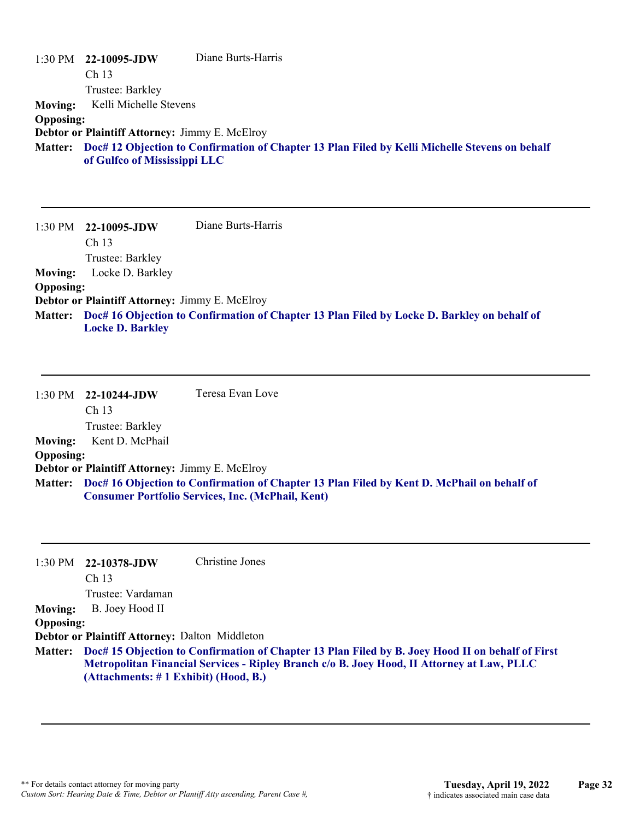|                  | $1:30$ PM $22-10095$ -JDW                      | Diane Burts-Harris                                                                                     |
|------------------|------------------------------------------------|--------------------------------------------------------------------------------------------------------|
|                  | Ch 13                                          |                                                                                                        |
|                  | Trustee: Barkley                               |                                                                                                        |
| <b>Moving:</b>   | Kelli Michelle Stevens                         |                                                                                                        |
| <b>Opposing:</b> |                                                |                                                                                                        |
|                  | Debtor or Plaintiff Attorney: Jimmy E. McElroy |                                                                                                        |
|                  |                                                | Matter: Doc# 12 Objection to Confirmation of Chapter 13 Plan Filed by Kelli Michelle Stevens on behalf |
|                  | of Gulfco of Mississippi LLC                   |                                                                                                        |

| 1:30 PM          | 22-10095-JDW                                          | Diane Burts-Harris                                                                          |
|------------------|-------------------------------------------------------|---------------------------------------------------------------------------------------------|
|                  | Ch <sub>13</sub>                                      |                                                                                             |
|                  | Trustee: Barkley                                      |                                                                                             |
| <b>Moving:</b>   | Locke D. Barkley                                      |                                                                                             |
| <b>Opposing:</b> |                                                       |                                                                                             |
|                  | <b>Debtor or Plaintiff Attorney: Jimmy E. McElroy</b> |                                                                                             |
| <b>Matter:</b>   |                                                       | Doc# 16 Objection to Confirmation of Chapter 13 Plan Filed by Locke D. Barkley on behalf of |
|                  | <b>Locke D. Barkley</b>                               |                                                                                             |

|                  | $1:30 \text{ PM}$ 22-10244-JDW                 | Teresa Evan Love                                                                                                                                               |
|------------------|------------------------------------------------|----------------------------------------------------------------------------------------------------------------------------------------------------------------|
|                  | Ch <sub>13</sub>                               |                                                                                                                                                                |
|                  | Trustee: Barkley                               |                                                                                                                                                                |
| <b>Moving:</b>   | Kent D. McPhail                                |                                                                                                                                                                |
| <b>Opposing:</b> |                                                |                                                                                                                                                                |
|                  | Debtor or Plaintiff Attorney: Jimmy E. McElroy |                                                                                                                                                                |
|                  |                                                | Matter: Doc# 16 Objection to Confirmation of Chapter 13 Plan Filed by Kent D. McPhail on behalf of<br><b>Consumer Portfolio Services, Inc. (McPhail, Kent)</b> |

| $1:30 \text{ PM}$ 22-10378-JDW | Christine Jones |
|--------------------------------|-----------------|
|--------------------------------|-----------------|

Ch 13

Trustee: Vardaman

Moving: B. Joey Hood II

#### **Opposing:**

**Debtor or Plaintiff Attorney:** Dalton Middleton

**Doc# 15 Objection to Confirmation of Chapter 13 Plan Filed by B. Joey Hood II on behalf of First Matter: Metropolitan Financial Services - Ripley Branch c/o B. Joey Hood, II Attorney at Law, PLLC (Attachments: # 1 Exhibit) (Hood, B.)**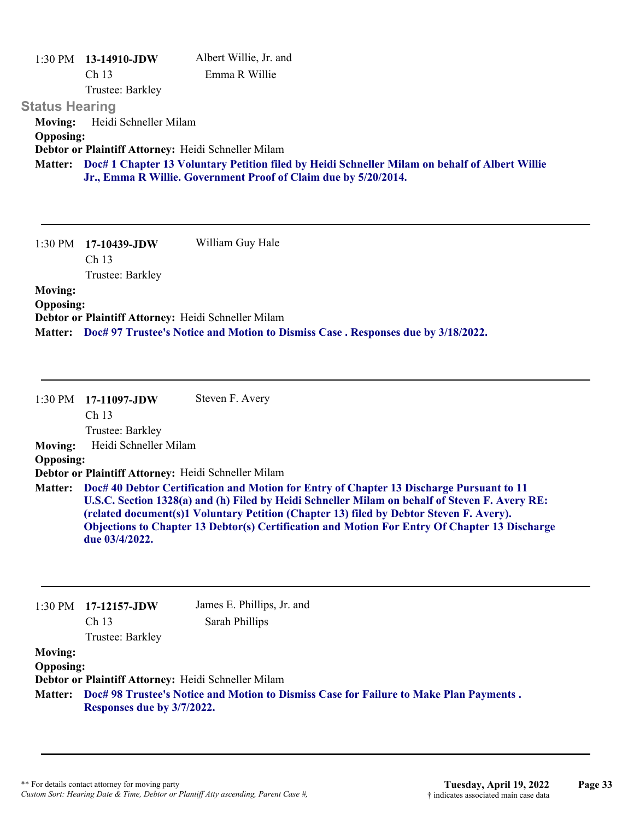| 1:30 PM               | $13-14910$ -JDW                                     | Albert Willie, Jr. and                                                                                                                                                    |
|-----------------------|-----------------------------------------------------|---------------------------------------------------------------------------------------------------------------------------------------------------------------------------|
|                       | Ch <sub>13</sub>                                    | Emma R Willie                                                                                                                                                             |
|                       | Trustee: Barkley                                    |                                                                                                                                                                           |
| <b>Status Hearing</b> |                                                     |                                                                                                                                                                           |
| <b>Moving:</b>        | Heidi Schneller Milam                               |                                                                                                                                                                           |
| <b>Opposing:</b>      |                                                     |                                                                                                                                                                           |
|                       | Debtor or Plaintiff Attorney: Heidi Schneller Milam |                                                                                                                                                                           |
|                       |                                                     | Matter: Doc# 1 Chapter 13 Voluntary Petition filed by Heidi Schneller Milam on behalf of Albert Willie<br>Jr., Emma R Willie. Government Proof of Claim due by 5/20/2014. |
|                       |                                                     |                                                                                                                                                                           |

|                  | $1:30 \text{ PM}$ 17-10439-JDW | William Guy Hale                                                                 |
|------------------|--------------------------------|----------------------------------------------------------------------------------|
|                  | Ch <sub>13</sub>               |                                                                                  |
|                  | Trustee: Barkley               |                                                                                  |
| <b>Moving:</b>   |                                |                                                                                  |
| <b>Opposing:</b> |                                |                                                                                  |
|                  |                                | Debtor or Plaintiff Attorney: Heidi Schneller Milam                              |
| <b>Matter:</b>   |                                | Doc# 97 Trustee's Notice and Motion to Dismiss Case. Responses due by 3/18/2022. |

1:30 PM **17-11097-JDW**  Ch 13 Trustee: Barkley Steven F. Avery **Moving:** Heidi Schneller Milam **Opposing: Debtor or Plaintiff Attorney:** Heidi Schneller Milam **Doc# 40 Debtor Certification and Motion for Entry of Chapter 13 Discharge Pursuant to 11 Matter: U.S.C. Section 1328(a) and (h) Filed by Heidi Schneller Milam on behalf of Steven F. Avery RE: (related document(s)1 Voluntary Petition (Chapter 13) filed by Debtor Steven F. Avery). Objections to Chapter 13 Debtor(s) Certification and Motion For Entry Of Chapter 13 Discharge due 03/4/2022.**

| $1:30$ PM        | 17-12157-JDW<br>Ch <sub>13</sub>                    | James E. Phillips, Jr. and<br>Sarah Phillips                                           |
|------------------|-----------------------------------------------------|----------------------------------------------------------------------------------------|
|                  | Trustee: Barkley                                    |                                                                                        |
| <b>Moving:</b>   |                                                     |                                                                                        |
| <b>Opposing:</b> |                                                     |                                                                                        |
|                  | Debtor or Plaintiff Attorney: Heidi Schneller Milam |                                                                                        |
| <b>Matter:</b>   | Responses due by 3/7/2022.                          | Doc# 98 Trustee's Notice and Motion to Dismiss Case for Failure to Make Plan Payments. |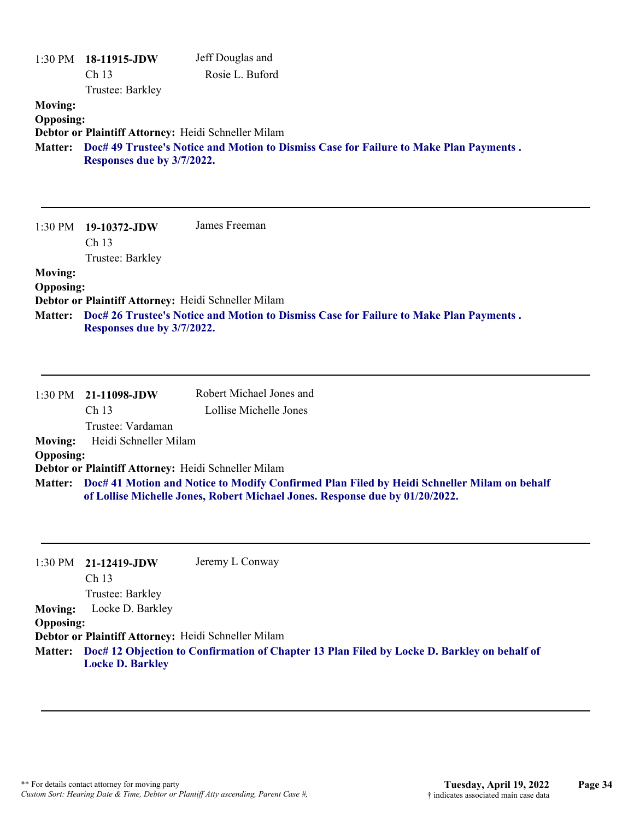| <b>Moving:</b><br><b>Opposing:</b> | $1:30$ PM $18-11915$ -JDW<br>Ch 13<br>Trustee: Barkley<br>Debtor or Plaintiff Attorney: Heidi Schneller Milam | Jeff Douglas and<br>Rosie L. Buford                                                                                                                                         |
|------------------------------------|---------------------------------------------------------------------------------------------------------------|-----------------------------------------------------------------------------------------------------------------------------------------------------------------------------|
| <b>Matter:</b>                     | Responses due by 3/7/2022.                                                                                    | Doc# 49 Trustee's Notice and Motion to Dismiss Case for Failure to Make Plan Payments.                                                                                      |
| 1:30 PM                            | 19-10372-JDW<br>Ch 13<br>Trustee: Barkley                                                                     | James Freeman                                                                                                                                                               |
| <b>Moving:</b>                     |                                                                                                               |                                                                                                                                                                             |
| <b>Opposing:</b>                   | Debtor or Plaintiff Attorney: Heidi Schneller Milam                                                           |                                                                                                                                                                             |
| Matter:                            | Responses due by 3/7/2022.                                                                                    | Doc# 26 Trustee's Notice and Motion to Dismiss Case for Failure to Make Plan Payments.                                                                                      |
| 1:30 PM                            | 21-11098-JDW                                                                                                  | Robert Michael Jones and                                                                                                                                                    |
|                                    | Ch <sub>13</sub><br>Trustee: Vardaman                                                                         | Lollise Michelle Jones                                                                                                                                                      |
| <b>Moving:</b>                     | Heidi Schneller Milam                                                                                         |                                                                                                                                                                             |
| <b>Opposing:</b>                   | Debtor or Plaintiff Attorney: Heidi Schneller Milam                                                           |                                                                                                                                                                             |
| <b>Matter:</b>                     |                                                                                                               | Doc# 41 Motion and Notice to Modify Confirmed Plan Filed by Heidi Schneller Milam on behalf<br>of Lollise Michelle Jones, Robert Michael Jones. Response due by 01/20/2022. |
| 1:30 PM                            | 21-12419-JDW<br>Ch 13                                                                                         | Jeremy L Conway                                                                                                                                                             |
| <b>Moving:</b><br><b>Opposing:</b> | Trustee: Barkley<br>Locke D. Barkley                                                                          |                                                                                                                                                                             |
| <b>Matter:</b>                     | Debtor or Plaintiff Attorney: Heidi Schneller Milam<br><b>Locke D. Barkley</b>                                | Doc# 12 Objection to Confirmation of Chapter 13 Plan Filed by Locke D. Barkley on behalf of                                                                                 |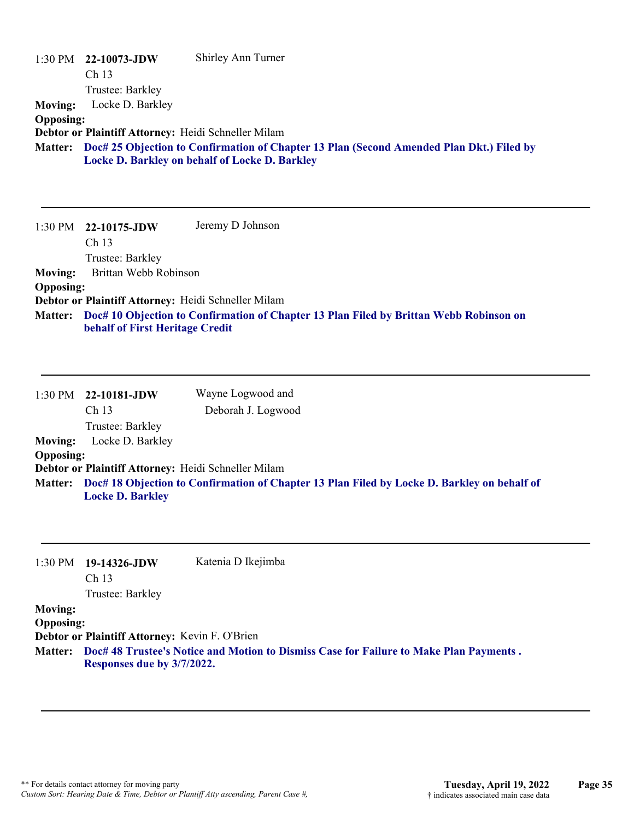| 1:30 PM<br><b>Moving:</b><br><b>Opposing:</b><br><b>Matter:</b> | 22-10073-JDW<br>Ch <sub>13</sub><br>Trustee: Barkley<br>Locke D. Barkley<br>Debtor or Plaintiff Attorney: Heidi Schneller Milam | Shirley Ann Turner<br>Doc# 25 Objection to Confirmation of Chapter 13 Plan (Second Amended Plan Dkt.) Filed by<br>Locke D. Barkley on behalf of Locke D. Barkley |
|-----------------------------------------------------------------|---------------------------------------------------------------------------------------------------------------------------------|------------------------------------------------------------------------------------------------------------------------------------------------------------------|
| 1:30 PM<br><b>Moving:</b><br><b>Opposing:</b>                   | 22-10175-JDW<br>Ch <sub>13</sub><br>Trustee: Barkley<br>Brittan Webb Robinson                                                   | Jeremy D Johnson                                                                                                                                                 |
| <b>Matter:</b>                                                  | Debtor or Plaintiff Attorney: Heidi Schneller Milam<br>behalf of First Heritage Credit                                          | Doc# 10 Objection to Confirmation of Chapter 13 Plan Filed by Brittan Webb Robinson on                                                                           |
| 1:30 PM                                                         | 22-10181-JDW<br>Ch <sub>13</sub><br>Trustee: Barkley                                                                            | Wayne Logwood and<br>Deborah J. Logwood                                                                                                                          |
| <b>Moving:</b><br><b>Opposing:</b><br><b>Matter:</b>            | Locke D. Barkley<br>Debtor or Plaintiff Attorney: Heidi Schneller Milam<br><b>Locke D. Barkley</b>                              | Doc# 18 Objection to Confirmation of Chapter 13 Plan Filed by Locke D. Barkley on behalf of                                                                      |

1:30 PM **19-14326-JDW**  Ch 13 Katenia D Ikejimba

Trustee: Barkley

### **Moving:**

**Opposing:**

**Debtor or Plaintiff Attorney:** Kevin F. O'Brien

**Doc# 48 Trustee's Notice and Motion to Dismiss Case for Failure to Make Plan Payments . Matter: Responses due by 3/7/2022.**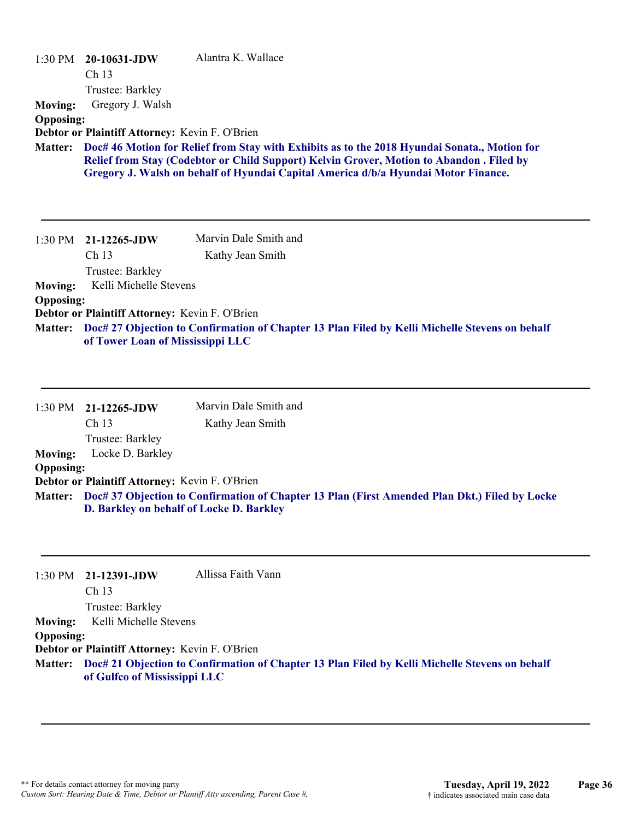|                  | $1:30 \text{ PM}$ 20-10631-JDW<br>Ch <sub>13</sub><br>Trustee: Barkley | Alantra K. Wallace                                                                                                                                                                                                                                                             |
|------------------|------------------------------------------------------------------------|--------------------------------------------------------------------------------------------------------------------------------------------------------------------------------------------------------------------------------------------------------------------------------|
| <b>Moving:</b>   | Gregory J. Walsh                                                       |                                                                                                                                                                                                                                                                                |
| <b>Opposing:</b> | Debtor or Plaintiff Attorney: Kevin F. O'Brien                         |                                                                                                                                                                                                                                                                                |
| <b>Matter:</b>   |                                                                        | Doc# 46 Motion for Relief from Stay with Exhibits as to the 2018 Hyundai Sonata., Motion for<br>Relief from Stay (Codebtor or Child Support) Kelvin Grover, Motion to Abandon . Filed by<br>Gregory J. Walsh on behalf of Hyundai Capital America d/b/a Hyundai Motor Finance. |
|                  | $1:30 \text{ PM}$ 21-12265-JDW                                         | Marvin Dale Smith and                                                                                                                                                                                                                                                          |
|                  | Ch <sub>13</sub>                                                       | Kathy Jean Smith                                                                                                                                                                                                                                                               |
|                  | Trustee: Barkley                                                       |                                                                                                                                                                                                                                                                                |
| <b>Moving:</b>   | Kelli Michelle Stevens                                                 |                                                                                                                                                                                                                                                                                |
| <b>Opposing:</b> |                                                                        |                                                                                                                                                                                                                                                                                |
|                  | Debtor or Plaintiff Attorney: Kevin F. O'Brien                         |                                                                                                                                                                                                                                                                                |
| <b>Matter:</b>   | of Tower Loan of Mississippi LLC                                       | Doc# 27 Objection to Confirmation of Chapter 13 Plan Filed by Kelli Michelle Stevens on behalf                                                                                                                                                                                 |

|                  | 1:30 PM 21-12265-JDW                           | Marvin Dale Smith and                                                                                 |
|------------------|------------------------------------------------|-------------------------------------------------------------------------------------------------------|
|                  | Ch <sub>13</sub>                               | Kathy Jean Smith                                                                                      |
|                  | Trustee: Barkley                               |                                                                                                       |
| <b>Moving:</b>   | Locke D. Barkley                               |                                                                                                       |
| <b>Opposing:</b> |                                                |                                                                                                       |
|                  | Debtor or Plaintiff Attorney: Kevin F. O'Brien |                                                                                                       |
|                  | D. Barkley on behalf of Locke D. Barkley       | Matter: Doc# 37 Objection to Confirmation of Chapter 13 Plan (First Amended Plan Dkt.) Filed by Locke |

|                  | $1:30$ PM $21-12391$ -JDW                      | Allissa Faith Vann                                                                                     |
|------------------|------------------------------------------------|--------------------------------------------------------------------------------------------------------|
|                  | Ch <sub>13</sub>                               |                                                                                                        |
|                  | Trustee: Barkley                               |                                                                                                        |
| <b>Moving:</b>   | Kelli Michelle Stevens                         |                                                                                                        |
| <b>Opposing:</b> |                                                |                                                                                                        |
|                  | Debtor or Plaintiff Attorney: Kevin F. O'Brien |                                                                                                        |
|                  | of Gulfco of Mississippi LLC                   | Matter: Doc# 21 Objection to Confirmation of Chapter 13 Plan Filed by Kelli Michelle Stevens on behalf |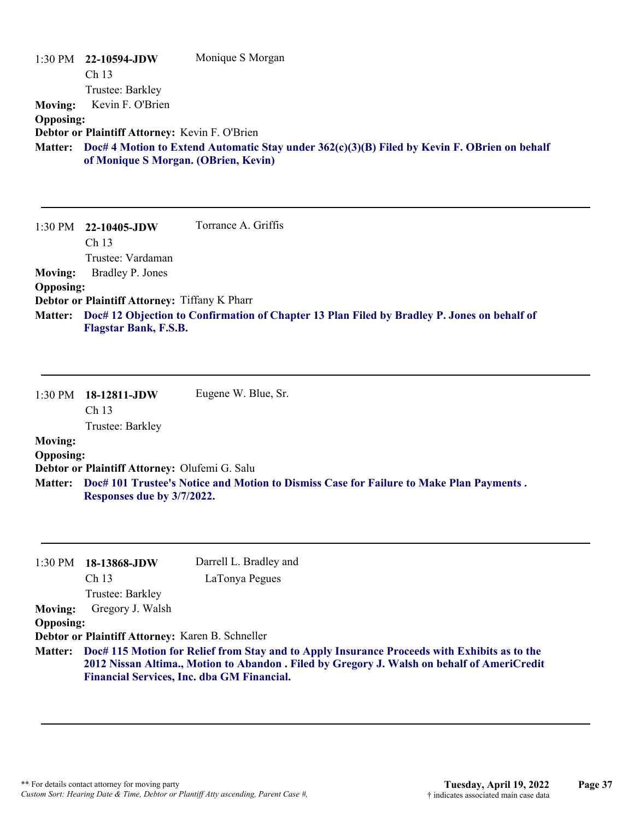| $1:30$ PM<br><b>Moving:</b><br><b>Opposing:</b><br><b>Matter:</b> | 22-10594-JDW<br>Ch 13<br>Trustee: Barkley<br>Kevin F. O'Brien<br>Debtor or Plaintiff Attorney: Kevin F. O'Brien<br>of Monique S Morgan. (OBrien, Kevin)    | Monique S Morgan<br>Doc# 4 Motion to Extend Automatic Stay under 362(c)(3)(B) Filed by Kevin F. OBrien on behalf   |
|-------------------------------------------------------------------|------------------------------------------------------------------------------------------------------------------------------------------------------------|--------------------------------------------------------------------------------------------------------------------|
| 1:30 PM<br><b>Moving:</b><br><b>Opposing:</b><br><b>Matter:</b>   | 22-10405-JDW<br>Ch <sub>13</sub><br>Trustee: Vardaman<br>Bradley P. Jones<br>Debtor or Plaintiff Attorney: Tiffany K Pharr<br><b>Flagstar Bank, F.S.B.</b> | Torrance A. Griffis<br>Doc# 12 Objection to Confirmation of Chapter 13 Plan Filed by Bradley P. Jones on behalf of |
| 1:30 PM<br><b>Moving:</b>                                         | 18-12811-JDW<br>Ch <sub>13</sub><br>Trustee: Barkley                                                                                                       | Eugene W. Blue, Sr.                                                                                                |

## **Opposing:**

**Debtor or Plaintiff Attorney:** Olufemi G. Salu

**Doc# 101 Trustee's Notice and Motion to Dismiss Case for Failure to Make Plan Payments . Matter: Responses due by 3/7/2022.**

| $1:30$ PM        | 18-13868-JDW                                     | Darrell L. Bradley and                                                                       |
|------------------|--------------------------------------------------|----------------------------------------------------------------------------------------------|
|                  | Ch <sub>13</sub>                                 | LaTonya Pegues                                                                               |
|                  | Trustee: Barkley                                 |                                                                                              |
| <b>Moving:</b>   | Gregory J. Walsh                                 |                                                                                              |
| <b>Opposing:</b> |                                                  |                                                                                              |
|                  | Debtor or Plaintiff Attorney: Karen B. Schneller |                                                                                              |
| <b>Matter:</b>   |                                                  | Doc# 115 Motion for Relief from Stay and to Apply Insurance Proceeds with Exhibits as to the |
|                  |                                                  | 2012 Nissan Altima., Motion to Abandon . Filed by Gregory J. Walsh on behalf of AmeriCredit  |
|                  |                                                  | <b>Financial Services, Inc. dba GM Financial.</b>                                            |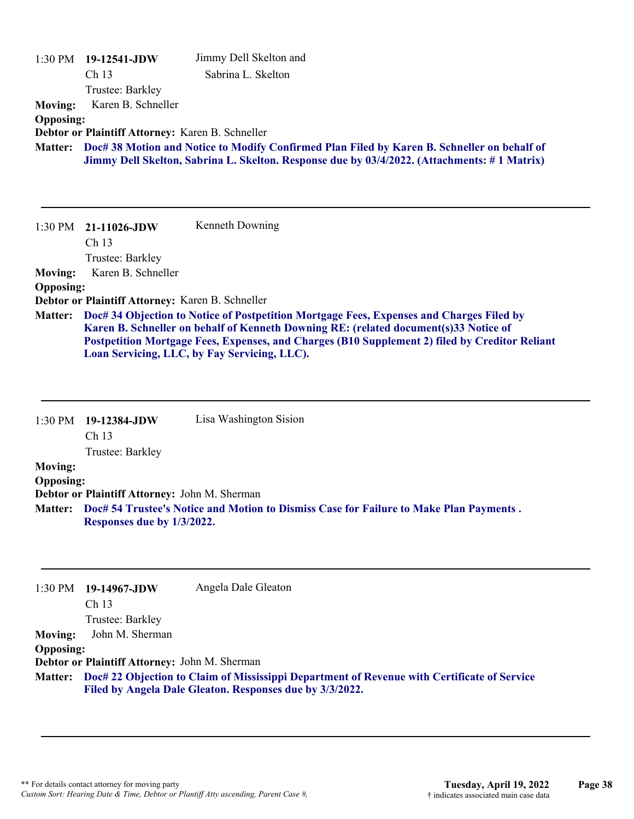|                  | $1:30$ PM $19-12541$ -JDW                        | Jimmy Dell Skelton and                                                                                                                         |
|------------------|--------------------------------------------------|------------------------------------------------------------------------------------------------------------------------------------------------|
|                  | Ch <sub>13</sub>                                 | Sabrina L. Skelton                                                                                                                             |
|                  | Trustee: Barkley                                 |                                                                                                                                                |
| <b>Moving:</b>   | Karen B. Schneller                               |                                                                                                                                                |
| <b>Opposing:</b> |                                                  |                                                                                                                                                |
|                  | Debtor or Plaintiff Attorney: Karen B. Schneller |                                                                                                                                                |
| <b>Matter:</b>   |                                                  | Doc# 38 Motion and Notice to Modify Confirmed Plan Filed by Karen B. Schneller on behalf of                                                    |
|                  |                                                  | Jimmy Dell Skelton, Sabrina L. Skelton. Response due by 03/4/2022. (Attachments: #1 Matrix)                                                    |
|                  |                                                  |                                                                                                                                                |
|                  |                                                  |                                                                                                                                                |
|                  |                                                  |                                                                                                                                                |
|                  |                                                  |                                                                                                                                                |
| 1:30 PM          | 21-11026-JDW                                     | Kenneth Downing                                                                                                                                |
|                  | Ch <sub>13</sub>                                 |                                                                                                                                                |
|                  | Trustee: Barkley                                 |                                                                                                                                                |
| <b>Moving:</b>   | Karen B. Schneller                               |                                                                                                                                                |
| <b>Opposing:</b> |                                                  |                                                                                                                                                |
|                  | Debtor or Plaintiff Attorney: Karen B. Schneller |                                                                                                                                                |
| <b>Matter:</b>   |                                                  | Doc# 34 Objection to Notice of Postpetition Mortgage Fees, Expenses and Charges Filed by                                                       |
|                  |                                                  | Karen B. Schneller on behalf of Kenneth Downing RE: (related document(s)33 Notice of                                                           |
|                  |                                                  | Postpetition Mortgage Fees, Expenses, and Charges (B10 Supplement 2) filed by Creditor Reliant<br>Loan Servicing, LLC, by Fay Servicing, LLC). |

1:30 PM **19-12384-JDW**  Ch 13 Trustee: Barkley Lisa Washington Sision **Moving: Opposing: Debtor or Plaintiff Attorney:** John M. Sherman **Doc# 54 Trustee's Notice and Motion to Dismiss Case for Failure to Make Plan Payments . Matter: Responses due by 1/3/2022.**

| $1:30$ PM        | 19-14967-JDW                                  | Angela Dale Gleaton                                                                                 |
|------------------|-----------------------------------------------|-----------------------------------------------------------------------------------------------------|
|                  | Ch <sub>13</sub>                              |                                                                                                     |
|                  | Trustee: Barkley                              |                                                                                                     |
| <b>Moving:</b>   | John M. Sherman                               |                                                                                                     |
| <b>Opposing:</b> |                                               |                                                                                                     |
|                  | Debtor or Plaintiff Attorney: John M. Sherman |                                                                                                     |
|                  |                                               | Matter: Doc# 22 Objection to Claim of Mississippi Department of Revenue with Certificate of Service |
|                  |                                               | Filed by Angela Dale Gleaton. Responses due by 3/3/2022.                                            |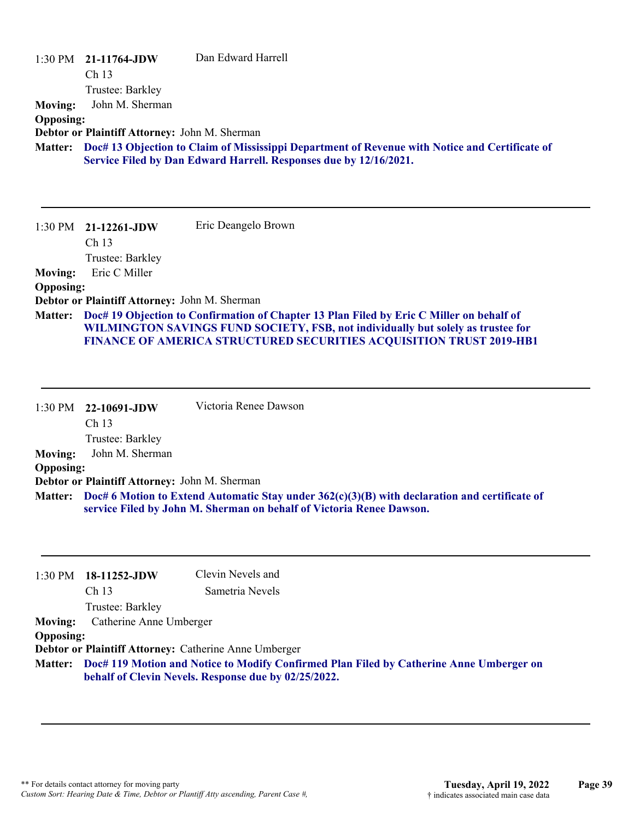|                  | $1:30 \text{ PM}$ 21-11764-JDW<br>Ch 13<br>Trustee: Barkley | Dan Edward Harrell                                                                                                                                                                                                                                         |
|------------------|-------------------------------------------------------------|------------------------------------------------------------------------------------------------------------------------------------------------------------------------------------------------------------------------------------------------------------|
| <b>Moving:</b>   | John M. Sherman                                             |                                                                                                                                                                                                                                                            |
| <b>Opposing:</b> |                                                             |                                                                                                                                                                                                                                                            |
|                  | Debtor or Plaintiff Attorney: John M. Sherman               |                                                                                                                                                                                                                                                            |
| <b>Matter:</b>   |                                                             | Doc# 13 Objection to Claim of Mississippi Department of Revenue with Notice and Certificate of                                                                                                                                                             |
|                  |                                                             | Service Filed by Dan Edward Harrell. Responses due by 12/16/2021.                                                                                                                                                                                          |
|                  |                                                             |                                                                                                                                                                                                                                                            |
|                  |                                                             |                                                                                                                                                                                                                                                            |
|                  | $1:30 \text{ PM}$ 21-12261-JDW                              | Eric Deangelo Brown                                                                                                                                                                                                                                        |
|                  | Ch <sub>13</sub>                                            |                                                                                                                                                                                                                                                            |
|                  | Trustee: Barkley                                            |                                                                                                                                                                                                                                                            |
| <b>Moving:</b>   | Eric C Miller                                               |                                                                                                                                                                                                                                                            |
| <b>Opposing:</b> |                                                             |                                                                                                                                                                                                                                                            |
|                  | Debtor or Plaintiff Attorney: John M. Sherman               |                                                                                                                                                                                                                                                            |
| <b>Matter:</b>   |                                                             | Doc# 19 Objection to Confirmation of Chapter 13 Plan Filed by Eric C Miller on behalf of<br>WILMINGTON SAVINGS FUND SOCIETY, FSB, not individually but solely as trustee for<br><b>FINANCE OF AMERICA STRUCTURED SECURITIES ACQUISITION TRUST 2019-HB1</b> |

|                  | 1:30 PM 22-10691-JDW                          | Victoria Renee Dawson                                                                                                                                                         |
|------------------|-----------------------------------------------|-------------------------------------------------------------------------------------------------------------------------------------------------------------------------------|
|                  | Ch <sub>13</sub>                              |                                                                                                                                                                               |
|                  | Trustee: Barkley                              |                                                                                                                                                                               |
| <b>Moving:</b>   | John M. Sherman                               |                                                                                                                                                                               |
| <b>Opposing:</b> |                                               |                                                                                                                                                                               |
|                  | Debtor or Plaintiff Attorney: John M. Sherman |                                                                                                                                                                               |
|                  |                                               | Matter: Doc# 6 Motion to Extend Automatic Stay under 362(c)(3)(B) with declaration and certificate of<br>service Filed by John M. Sherman on behalf of Victoria Renee Dawson. |

|                  | $1:30 \text{ PM}$ 18-11252-JDW                                                                  | Clevin Nevels and                                     |  |
|------------------|-------------------------------------------------------------------------------------------------|-------------------------------------------------------|--|
|                  | Ch <sub>13</sub>                                                                                | Sametria Nevels                                       |  |
|                  | Trustee: Barkley                                                                                |                                                       |  |
| <b>Moving:</b>   | Catherine Anne Umberger                                                                         |                                                       |  |
| <b>Opposing:</b> |                                                                                                 |                                                       |  |
|                  |                                                                                                 | Debtor or Plaintiff Attorney: Catherine Anne Umberger |  |
|                  | Matter: Doc# 119 Motion and Notice to Modify Confirmed Plan Filed by Catherine Anne Umberger on |                                                       |  |
|                  |                                                                                                 | behalf of Clevin Nevels. Response due by 02/25/2022.  |  |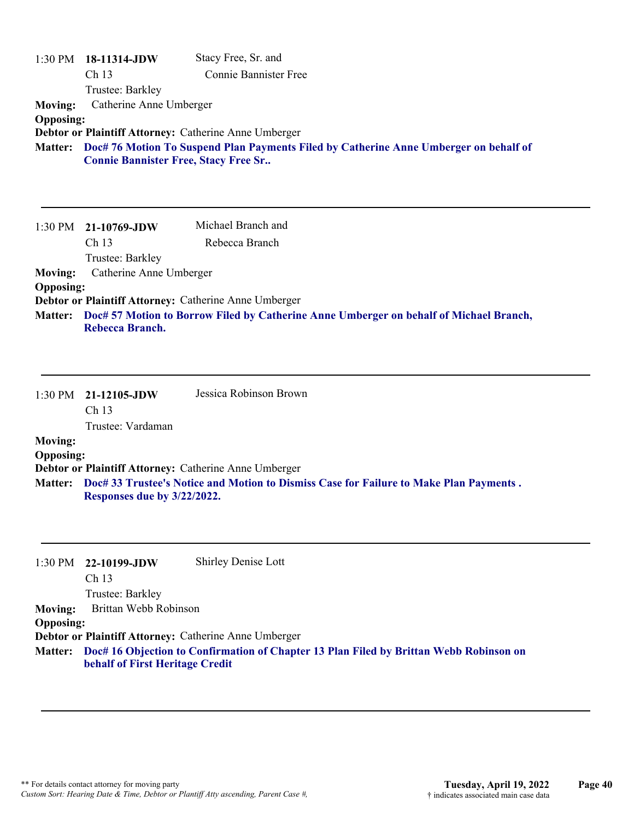| <b>Moving:</b><br><b>Opposing:</b> | 1:30 PM 18-11314-JDW<br>Ch 13<br>Trustee: Barkley<br>Catherine Anne Umberger<br><b>Connie Bannister Free, Stacy Free Sr</b> | Stacy Free, Sr. and<br><b>Connie Bannister Free</b><br>Debtor or Plaintiff Attorney: Catherine Anne Umberger<br>Matter: Doc# 76 Motion To Suspend Plan Payments Filed by Catherine Anne Umberger on behalf of |
|------------------------------------|-----------------------------------------------------------------------------------------------------------------------------|---------------------------------------------------------------------------------------------------------------------------------------------------------------------------------------------------------------|
|                                    |                                                                                                                             |                                                                                                                                                                                                               |
|                                    | 1:30 PM 21-10769-JDW                                                                                                        | Michael Branch and                                                                                                                                                                                            |
|                                    | Ch 13                                                                                                                       | Rebecca Branch                                                                                                                                                                                                |
| <b>Moving:</b>                     | Trustee: Barkley<br>Catherine Anne Umberger                                                                                 |                                                                                                                                                                                                               |
| <b>Opposing:</b>                   |                                                                                                                             |                                                                                                                                                                                                               |
| <b>Matter:</b>                     |                                                                                                                             | Debtor or Plaintiff Attorney: Catherine Anne Umberger<br>Doc# 57 Motion to Borrow Filed by Catherine Anne Umberger on behalf of Michael Branch,                                                               |
|                                    | Rebecca Branch.                                                                                                             |                                                                                                                                                                                                               |
|                                    |                                                                                                                             |                                                                                                                                                                                                               |
|                                    | 1:30 PM 21-12105-JDW<br>Ch <sub>13</sub>                                                                                    | Jessica Robinson Brown                                                                                                                                                                                        |
|                                    | Trustee: Vardaman                                                                                                           |                                                                                                                                                                                                               |
| <b>Moving:</b><br><b>Opposing:</b> |                                                                                                                             |                                                                                                                                                                                                               |
|                                    |                                                                                                                             | Debtor or Plaintiff Attorney: Catherine Anne Umberger                                                                                                                                                         |
| <b>Matter:</b>                     | Responses due by 3/22/2022.                                                                                                 | Doc# 33 Trustee's Notice and Motion to Dismiss Case for Failure to Make Plan Payments.                                                                                                                        |
|                                    |                                                                                                                             |                                                                                                                                                                                                               |
| 1:30 PM                            | 22-10199-JDW<br>Ch 13                                                                                                       | <b>Shirley Denise Lott</b>                                                                                                                                                                                    |
|                                    | Trustee: Barkley                                                                                                            |                                                                                                                                                                                                               |
| <b>Moving:</b>                     | Brittan Webb Robinson                                                                                                       |                                                                                                                                                                                                               |
| <b>Opposing:</b>                   |                                                                                                                             | Debtor or Plaintiff Attorney: Catherine Anne Umberger                                                                                                                                                         |

**Doc# 16 Objection to Confirmation of Chapter 13 Plan Filed by Brittan Webb Robinson on behalf of First Heritage Credit Matter:**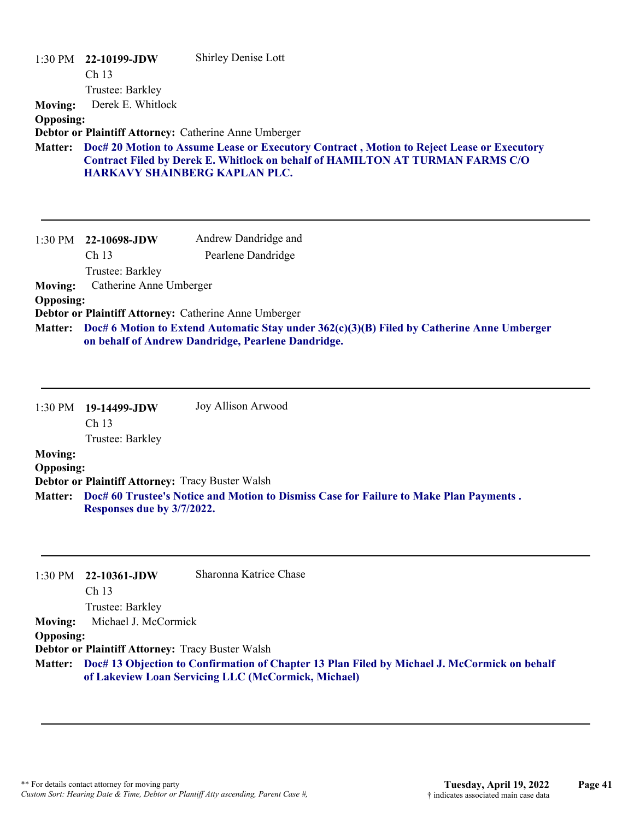| 1:30 PM<br><b>Moving:</b> | 22-10199-JDW<br>Ch <sub>13</sub><br>Trustee: Barkley<br>Derek E. Whitlock | <b>Shirley Denise Lott</b>                                                                                                                                                 |
|---------------------------|---------------------------------------------------------------------------|----------------------------------------------------------------------------------------------------------------------------------------------------------------------------|
| <b>Opposing:</b>          |                                                                           |                                                                                                                                                                            |
|                           |                                                                           | Debtor or Plaintiff Attorney: Catherine Anne Umberger                                                                                                                      |
| <b>Matter:</b>            | <b>HARKAVY SHAINBERG KAPLAN PLC.</b>                                      | Doc# 20 Motion to Assume Lease or Executory Contract, Motion to Reject Lease or Executory<br>Contract Filed by Derek E. Whitlock on behalf of HAMILTON AT TURMAN FARMS C/O |
| 1:30 PM                   | 22-10698-JDW                                                              | Andrew Dandridge and                                                                                                                                                       |
|                           | Ch <sub>13</sub>                                                          | Pearlene Dandridge                                                                                                                                                         |
|                           | Trustee: Barkley                                                          |                                                                                                                                                                            |
| <b>Moving:</b>            | Catherine Anne Umberger                                                   |                                                                                                                                                                            |
| <b>Opposing:</b>          |                                                                           |                                                                                                                                                                            |
|                           |                                                                           | Debtor or Plaintiff Attorney: Catherine Anne Umberger                                                                                                                      |
| <b>Matter:</b>            |                                                                           | Doc# 6 Motion to Extend Automatic Stay under 362(c)(3)(B) Filed by Catherine Anne Umberger                                                                                 |

**on behalf of Andrew Dandridge, Pearlene Dandridge.**

|                  | $1:30 \text{ PM}$ 19-14499-JDW | Joy Allison Arwood                                                                     |
|------------------|--------------------------------|----------------------------------------------------------------------------------------|
|                  | Ch <sub>13</sub>               |                                                                                        |
|                  | Trustee: Barkley               |                                                                                        |
| <b>Moving:</b>   |                                |                                                                                        |
| <b>Opposing:</b> |                                |                                                                                        |
|                  |                                | Debtor or Plaintiff Attorney: Tracy Buster Walsh                                       |
| <b>Matter:</b>   |                                | Doc# 60 Trustee's Notice and Motion to Dismiss Case for Failure to Make Plan Payments. |
|                  | Responses due by 3/7/2022.     |                                                                                        |

|                  | $1:30 \text{ PM}$ 22-10361-JDW                          | Sharonna Katrice Chase                                                                               |
|------------------|---------------------------------------------------------|------------------------------------------------------------------------------------------------------|
|                  | Ch <sub>13</sub>                                        |                                                                                                      |
|                  | Trustee: Barkley                                        |                                                                                                      |
| <b>Moving:</b>   | Michael J. McCormick                                    |                                                                                                      |
| <b>Opposing:</b> |                                                         |                                                                                                      |
|                  | <b>Debtor or Plaintiff Attorney: Tracy Buster Walsh</b> |                                                                                                      |
|                  |                                                         | Matter: Doc# 13 Objection to Confirmation of Chapter 13 Plan Filed by Michael J. McCormick on behalf |
|                  |                                                         | of Lakeview Loan Servicing LLC (McCormick, Michael)                                                  |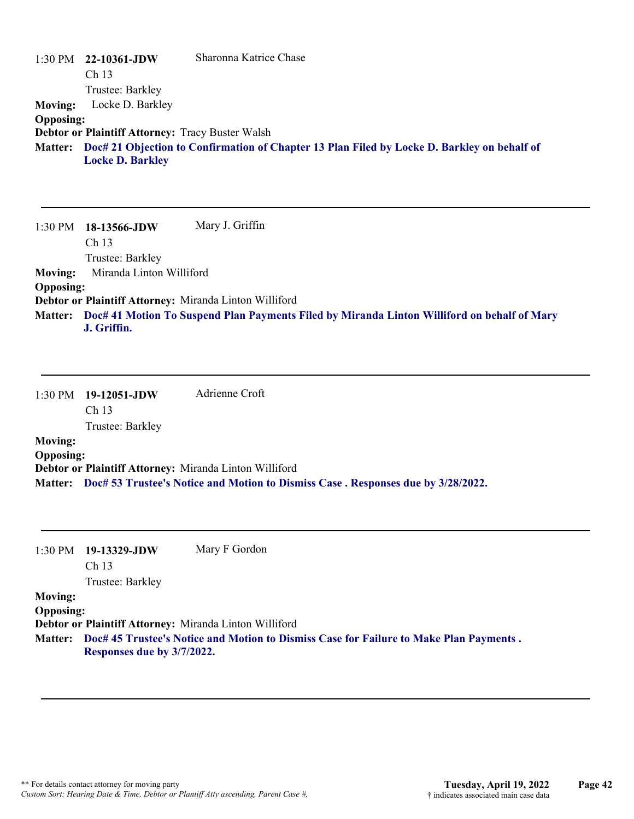|                  | $1:30 \text{ PM}$ 22-10361-JDW                          | Sharonna Katrice Chase                                                                      |
|------------------|---------------------------------------------------------|---------------------------------------------------------------------------------------------|
|                  | Ch <sub>13</sub>                                        |                                                                                             |
|                  | Trustee: Barkley                                        |                                                                                             |
| Moving:          | Locke D. Barkley                                        |                                                                                             |
| <b>Opposing:</b> |                                                         |                                                                                             |
|                  | <b>Debtor or Plaintiff Attorney: Tracy Buster Walsh</b> |                                                                                             |
| <b>Matter:</b>   | <b>Locke D. Barkley</b>                                 | Doc# 21 Objection to Confirmation of Chapter 13 Plan Filed by Locke D. Barkley on behalf of |

1:30 PM **18-13566-JDW**  Ch 13 Trustee: Barkley Mary J. Griffin **Moving:** Miranda Linton Williford **Opposing: Debtor or Plaintiff Attorney:** Miranda Linton Williford **Doc# 41 Motion To Suspend Plan Payments Filed by Miranda Linton Williford on behalf of Mary Matter: J. Griffin.**

1:30 PM **19-12051-JDW**  Ch 13 Trustee: Barkley Adrienne Croft **Moving: Opposing: Debtor or Plaintiff Attorney:** Miranda Linton Williford

**Matter: Doc# 53 Trustee's Notice and Motion to Dismiss Case . Responses due by 3/28/2022.**

| 1:30 PM          | 19-13329-JDW                                           | Mary F Gordon                                                                                  |
|------------------|--------------------------------------------------------|------------------------------------------------------------------------------------------------|
|                  | Ch <sub>13</sub>                                       |                                                                                                |
|                  | Trustee: Barkley                                       |                                                                                                |
| <b>Moving:</b>   |                                                        |                                                                                                |
| <b>Opposing:</b> |                                                        |                                                                                                |
|                  | Debtor or Plaintiff Attorney: Miranda Linton Williford |                                                                                                |
|                  | Responses due by 3/7/2022.                             | Matter: Doc# 45 Trustee's Notice and Motion to Dismiss Case for Failure to Make Plan Payments. |
|                  |                                                        |                                                                                                |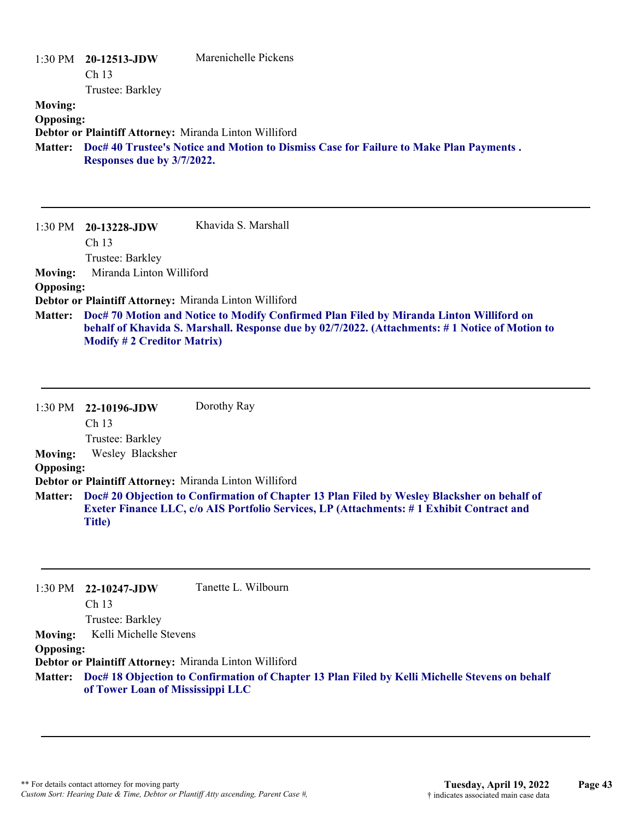|                                                      | $1:30 \text{ PM}$ 20-12513-JDW<br>Ch <sub>13</sub>                                                                                                                                                 | Marenichelle Pickens |
|------------------------------------------------------|----------------------------------------------------------------------------------------------------------------------------------------------------------------------------------------------------|----------------------|
| <b>Moving:</b><br><b>Opposing:</b><br><b>Matter:</b> | Trustee: Barkley<br>Debtor or Plaintiff Attorney: Miranda Linton Williford<br>Doc# 40 Trustee's Notice and Motion to Dismiss Case for Failure to Make Plan Payments.<br>Responses due by 3/7/2022. |                      |
| $1:30 \text{ PM}$                                    | 20-13228-JDW<br>Ch <sub>13</sub><br>Trustee: Barkley                                                                                                                                               | Khavida S. Marshall  |

**Moving:** Miranda Linton Williford

**Opposing:**

**Debtor or Plaintiff Attorney:** Miranda Linton Williford

**Doc# 70 Motion and Notice to Modify Confirmed Plan Filed by Miranda Linton Williford on Matter: behalf of Khavida S. Marshall. Response due by 02/7/2022. (Attachments: # 1 Notice of Motion to Modify # 2 Creditor Matrix)**

1:30 PM **22-10196-JDW**  Ch 13 Trustee: Barkley Dorothy Ray **Moving:** Wesley Blacksher **Opposing: Debtor or Plaintiff Attorney:** Miranda Linton Williford **Doc# 20 Objection to Confirmation of Chapter 13 Plan Filed by Wesley Blacksher on behalf of Matter: Exeter Finance LLC, c/o AIS Portfolio Services, LP (Attachments: # 1 Exhibit Contract and Title)**

|                  | 1:30 PM 22-10247-JDW                                   | Tanette L. Wilbourn                                                                                    |
|------------------|--------------------------------------------------------|--------------------------------------------------------------------------------------------------------|
|                  | Ch <sub>13</sub>                                       |                                                                                                        |
|                  | Trustee: Barkley                                       |                                                                                                        |
| <b>Moving:</b>   | Kelli Michelle Stevens                                 |                                                                                                        |
| <b>Opposing:</b> |                                                        |                                                                                                        |
|                  | Debtor or Plaintiff Attorney: Miranda Linton Williford |                                                                                                        |
|                  | of Tower Loan of Mississippi LLC                       | Matter: Doc# 18 Objection to Confirmation of Chapter 13 Plan Filed by Kelli Michelle Stevens on behalf |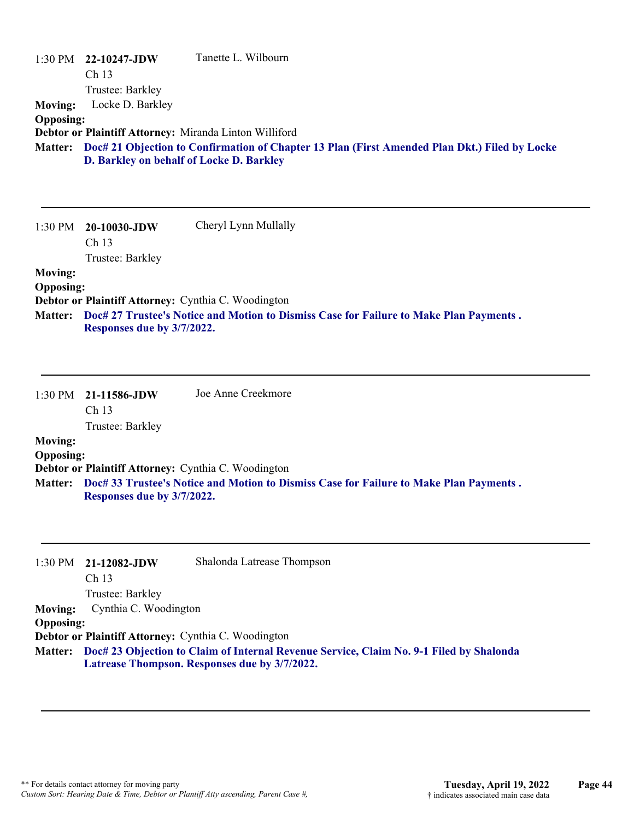| <b>Moving:</b><br><b>Opposing:</b> | 1:30 PM 22-10247-JDW<br>Ch 13<br>Trustee: Barkley<br>Locke D. Barkley<br>Debtor or Plaintiff Attorney: Miranda Linton Williford<br>D. Barkley on behalf of Locke D. Barkley | Tanette L. Wilbourn<br>Matter: Doc# 21 Objection to Confirmation of Chapter 13 Plan (First Amended Plan Dkt.) Filed by Locke             |
|------------------------------------|-----------------------------------------------------------------------------------------------------------------------------------------------------------------------------|------------------------------------------------------------------------------------------------------------------------------------------|
| 1:30 PM                            | 20-10030-JDW<br>Ch 13<br>Trustee: Barkley                                                                                                                                   | Cheryl Lynn Mullally                                                                                                                     |
| <b>Moving:</b>                     |                                                                                                                                                                             |                                                                                                                                          |
| <b>Opposing:</b>                   | Debtor or Plaintiff Attorney: Cynthia C. Woodington                                                                                                                         |                                                                                                                                          |
| <b>Matter:</b>                     | Responses due by 3/7/2022.                                                                                                                                                  | Doc# 27 Trustee's Notice and Motion to Dismiss Case for Failure to Make Plan Payments.                                                   |
| 1:30 PM                            | 21-11586-JDW<br>Ch <sub>13</sub><br>Trustee: Barkley                                                                                                                        | Joe Anne Creekmore                                                                                                                       |
| <b>Moving:</b>                     |                                                                                                                                                                             |                                                                                                                                          |
| <b>Opposing:</b>                   | Debtor or Plaintiff Attorney: Cynthia C. Woodington                                                                                                                         |                                                                                                                                          |
| <b>Matter:</b>                     | Responses due by 3/7/2022.                                                                                                                                                  | Doc# 33 Trustee's Notice and Motion to Dismiss Case for Failure to Make Plan Payments.                                                   |
| 1:30 PM                            | 21-12082-JDW<br>Ch 13                                                                                                                                                       | Shalonda Latrease Thompson                                                                                                               |
| <b>Moving:</b>                     | Trustee: Barkley<br>Cynthia C. Woodington                                                                                                                                   |                                                                                                                                          |
| <b>Opposing:</b>                   |                                                                                                                                                                             |                                                                                                                                          |
|                                    | Debtor or Plaintiff Attorney: Cynthia C. Woodington                                                                                                                         |                                                                                                                                          |
| <b>Matter:</b>                     |                                                                                                                                                                             | Doc# 23 Objection to Claim of Internal Revenue Service, Claim No. 9-1 Filed by Shalonda<br>Latrease Thompson. Responses due by 3/7/2022. |